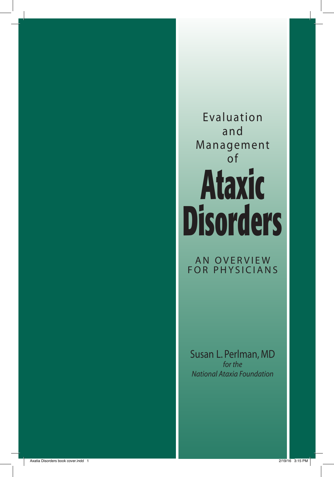# Evaluation Evaluation and and Management Management of of **Ataxic Ataxic Disorders Disorders**

N OVERVIEW OR PHYSICIANS AN OVERVIEW FOR PHYSICIANS

Susan L. Perlman, MD Susan L. Perlman, MD *for the for the National Ataxia Foundation National Ataxia Foundation*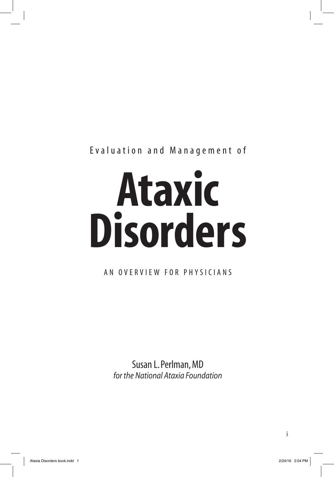#### Evaluation and Management of

# **Ataxic Disorders**

#### AN OVERVIEW FOR PHYSICIANS

Susan L. Perlman, MD *for the National Ataxia Foundation*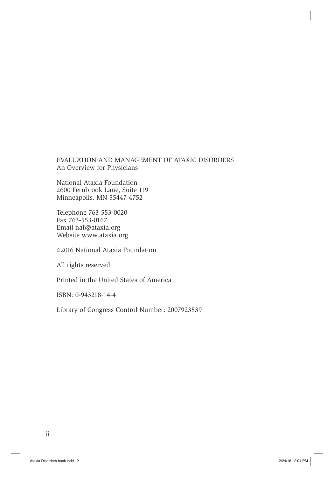#### Evaluation and Management of Ataxic Disorders An Overview for Physicians

National Ataxia Foundation 2600 Fernbrook Lane, Suite 119 Minneapolis, MN 55447-4752

Telephone 763-553-0020 Fax 763-553-0167 Email naf@ataxia.org Website www.ataxia.org

©2016 National Ataxia Foundation

All rights reserved

Printed in the United States of America

ISBN: 0-943218-14-4

Library of Congress Control Number: 2007923539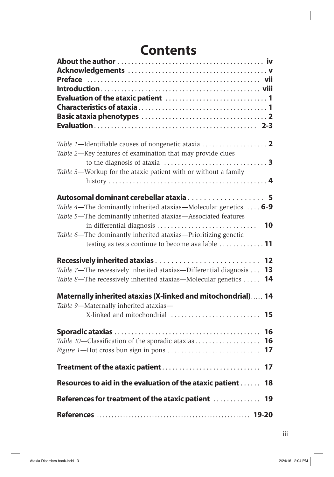## **Contents**

| Table 2-Key features of examination that may provide clues                                                                                                                        |  |
|-----------------------------------------------------------------------------------------------------------------------------------------------------------------------------------|--|
| Table 3—Workup for the ataxic patient with or without a family                                                                                                                    |  |
| Autosomal dominant cerebellar ataxia 5<br>Table 4—The dominantly inherited ataxias—Molecular genetics $\dots$ 6-9<br>Table 5-The dominantly inherited ataxias-Associated features |  |
| 10<br>Table 6-The dominantly inherited ataxias-Prioritizing genetic                                                                                                               |  |
| 13<br>Table 7-The recessively inherited ataxias-Differential diagnosis                                                                                                            |  |
| Table 8-The recessively inherited ataxias-Molecular genetics<br>14                                                                                                                |  |
| Maternally inherited ataxias (X-linked and mitochondrial) 14<br>Table 9-Maternally inherited ataxias-<br>15                                                                       |  |
| 16<br>16<br>17                                                                                                                                                                    |  |
|                                                                                                                                                                                   |  |
| Resources to aid in the evaluation of the ataxic patient 18                                                                                                                       |  |
| References for treatment of the ataxic patient  19                                                                                                                                |  |
|                                                                                                                                                                                   |  |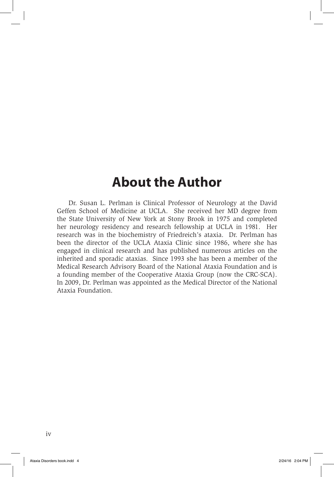### **About the Author**

 Dr. Susan L. Perlman is Clinical Professor of Neurology at the David Geffen School of Medicine at UCLA. She received her MD degree from the State University of New York at Stony Brook in 1975 and completed her neurology residency and research fellowship at UCLA in 1981. Her research was in the biochemistry of Friedreich's ataxia. Dr. Perlman has been the director of the UCLA Ataxia Clinic since 1986, where she has engaged in clinical research and has published numerous articles on the inherited and sporadic ataxias. Since 1993 she has been a member of the Medical Research Advisory Board of the National Ataxia Foundation and is a founding member of the Cooperative Ataxia Group (now the CRC-SCA). In 2009, Dr. Perlman was appointed as the Medical Director of the National Ataxia Foundation.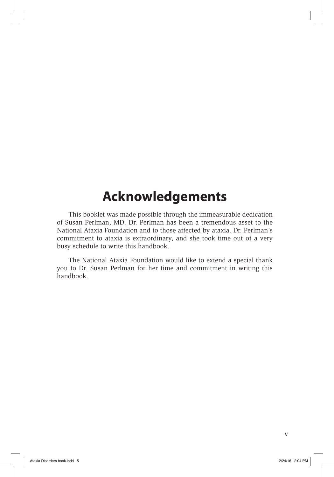## **Acknowledgements**

This booklet was made possible through the immeasurable dedication of Susan Perlman, MD. Dr. Perlman has been a tremendous asset to the National Ataxia Foundation and to those affected by ataxia. Dr. Perlman's commitment to ataxia is extraordinary, and she took time out of a very busy schedule to write this handbook.

 The National Ataxia Foundation would like to extend a special thank you to Dr. Susan Perlman for her time and commitment in writing this handbook.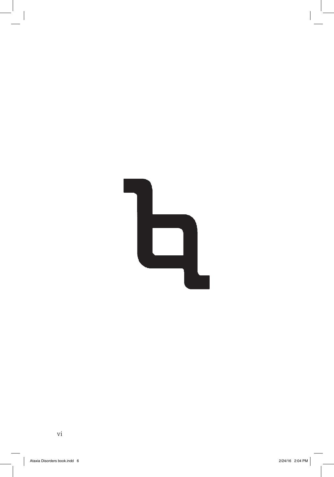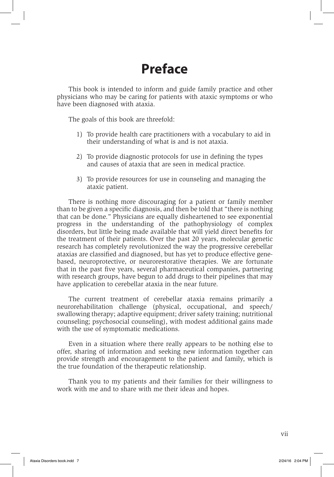# **Preface**

This book is intended to inform and guide family practice and other physicians who may be caring for patients with ataxic symptoms or who have been diagnosed with ataxia.

The goals of this book are threefold:

- 1) To provide health care practitioners with a vocabulary to aid in their understanding of what is and is not ataxia.
- 2) To provide diagnostic protocols for use in defining the types and causes of ataxia that are seen in medical practice.
- 3) To provide resources for use in counseling and managing the ataxic patient.

 There is nothing more discouraging for a patient or family member than to be given a specific diagnosis, and then be told that "there is nothing that can be done." Physicians are equally disheartened to see exponential progress in the understanding of the pathophysiology of complex disorders, but little being made available that will yield direct benefits for the treatment of their patients. Over the past 20 years, molecular genetic research has completely revolutionized the way the progressive cerebellar ataxias are classified and diagnosed, but has yet to produce effective genebased, neuroprotective, or neurorestorative therapies. We are fortunate that in the past five years, several pharmaceutical companies, partnering with research groups, have begun to add drugs to their pipelines that may have application to cerebellar ataxia in the near future.

 The current treatment of cerebellar ataxia remains primarily a neurorehabilitation challenge (physical, occupational, and speech/ swallowing therapy; adaptive equipment; driver safety training; nutritional counseling; psychosocial counseling), with modest additional gains made with the use of symptomatic medications.

Even in a situation where there really appears to be nothing else to offer, sharing of information and seeking new information together can provide strength and encouragement to the patient and family, which is the true foundation of the therapeutic relationship.

 Thank you to my patients and their families for their willingness to work with me and to share with me their ideas and hopes.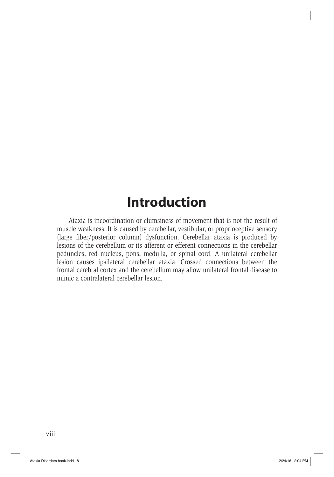## **Introduction**

 Ataxia is incoordination or clumsiness of movement that is not the result of muscle weakness. It is caused by cerebellar, vestibular, or proprioceptive sensory (large fiber/posterior column) dysfunction. Cerebellar ataxia is produced by lesions of the cerebellum or its afferent or efferent connections in the cerebellar peduncles, red nucleus, pons, medulla, or spinal cord. A unilateral cerebellar lesion causes ipsilateral cerebellar ataxia. Crossed connections between the frontal cerebral cortex and the cerebellum may allow unilateral frontal disease to mimic a contralateral cerebellar lesion.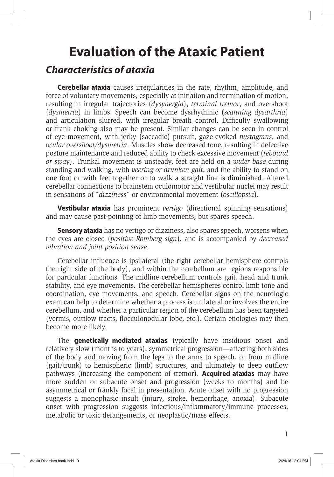# **Evaluation of the Ataxic Patient**

#### *Characteristics of ataxia*

**Cerebellar ataxia** causes irregularities in the rate, rhythm, amplitude, and force of voluntary movements, especially at initiation and termination of motion, resulting in irregular trajectories (*dysynergia*), *terminal tremor*, and overshoot (*dysmetria*) in limbs. Speech can become dysrhythmic (*scanning dysarthria*) and articulation slurred, with irregular breath control. Difficulty swallowing or frank choking also may be present. Similar changes can be seen in control of eye movement, with jerky (saccadic) pursuit, gaze-evoked *nystagmus*, and *ocular overshoot/dysmetria*. Muscles show decreased tone, resulting in defective posture maintenance and reduced ability to check excessive movement (*rebound or sway*). Trunkal movement is unsteady, feet are held on a *wider base* during standing and walking, with *veering or drunken gait*, and the ability to stand on one foot or with feet together or to walk a straight line is diminished. Altered cerebellar connections to brainstem oculomotor and vestibular nuclei may result in sensations of "*dizziness*" or environmental movement (*oscillopsia*).

**Vestibular ataxia** has prominent *vertigo* (directional spinning sensations) and may cause past-pointing of limb movements, but spares speech.

**Sensory ataxia** has no vertigo or dizziness, also spares speech, worsens when the eyes are closed (*positive Romberg sign*), and is accompanied by *decreased vibration and joint position sense.*

 Cerebellar influence is ipsilateral (the right cerebellar hemisphere controls the right side of the body), and within the cerebellum are regions responsible for particular functions. The midline cerebellum controls gait, head and trunk stability, and eye movements. The cerebellar hemispheres control limb tone and coordination, eye movements, and speech. Cerebellar signs on the neurologic exam can help to determine whether a process is unilateral or involves the entire cerebellum, and whether a particular region of the cerebellum has been targeted (vermis, outflow tracts, flocculonodular lobe, etc.). Certain etiologies may then become more likely.

 The **genetically mediated ataxias** typically have insidious onset and relatively slow (months to years), symmetrical progression—affecting both sides of the body and moving from the legs to the arms to speech, or from midline (gait/trunk) to hemispheric (limb) structures, and ultimately to deep outflow pathways (increasing the component of tremor). **Acquired ataxias** may have more sudden or subacute onset and progression (weeks to months) and be asymmetrical or frankly focal in presentation. Acute onset with no progression suggests a monophasic insult (injury, stroke, hemorrhage, anoxia). Subacute onset with progression suggests infectious/inflammatory/immune processes, metabolic or toxic derangements, or neoplastic/mass effects.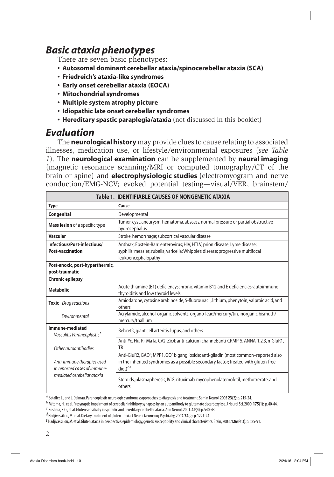#### *Basic ataxia phenotypes*

There are seven basic phenotypes:

- **Autosomal dominant cerebellar ataxia/spinocerebellar ataxia (SCA)**
- **Friedreich's ataxia-like syndromes**
- **Early onset cerebellar ataxia (EOCA)**
- **Mitochondrial syndromes**
- **Multiple system atrophy picture**
- **Idiopathic late onset cerebellar syndromes**
- **Hereditary spastic paraplegia/ataxia** (not discussed in this booklet)

#### *Evaluation*

 The **neurological history** may provide clues to cause relating to associated illnesses, medication use, or lifestyle/environmental exposures (*see Table 1*). The **neurological examination** can be supplemented by **neural imaging** (magnetic resonance scanning/MRI or computed tomography/CT of the brain or spine) and **electrophysiologic studies** (electromyogram and nerve conduction/EMG-NCV; evoked potential testing—visual/VER, brainstem/

| Table 1. IDENTIFIABLE CAUSES OF NONGENETIC ATAXIA          |                                                                                                                                                                                                                         |  |  |  |
|------------------------------------------------------------|-------------------------------------------------------------------------------------------------------------------------------------------------------------------------------------------------------------------------|--|--|--|
| <b>Type</b>                                                | Cause                                                                                                                                                                                                                   |  |  |  |
| Congenital                                                 | Developmental                                                                                                                                                                                                           |  |  |  |
| <b>Mass lesion</b> of a specific type                      | Tumor, cyst, aneurysm, hematoma, abscess, normal pressure or partial obstructive<br>hydrocephalus                                                                                                                       |  |  |  |
| <b>Vascular</b>                                            | Stroke, hemorrhage; subcortical vascular disease                                                                                                                                                                        |  |  |  |
| Infectious/Post-infectious/<br><b>Post-vaccination</b>     | Anthrax; Epstein-Barr; enterovirus; HIV; HTLV; prion disease; Lyme disease;<br>syphilis; measles, rubella, varicella; Whipple's disease; progressive multifocal<br>leukoencephalopathy                                  |  |  |  |
| Post-anoxic, post-hyperthermic,<br>post-traumatic          |                                                                                                                                                                                                                         |  |  |  |
| <b>Chronic epilepsy</b>                                    |                                                                                                                                                                                                                         |  |  |  |
| <b>Metabolic</b>                                           | Acute thiamine (B1) deficiency; chronic vitamin B12 and E deficiencies; autoimmune<br>thyroiditis and low thyroid levels                                                                                                |  |  |  |
| <b>Toxic</b> Drug reactions                                | Amiodarone, cytosine arabinoside, 5-fluorouracil, lithium, phenytoin, valproic acid, and<br>others                                                                                                                      |  |  |  |
| Environmental                                              | Acrylamide, alcohol, organic solvents, organo-lead/mercury/tin, inorganic bismuth/<br>mercury/thallium                                                                                                                  |  |  |  |
| Immune-mediated<br>Vasculitis Paraneoplastic <sup>a</sup>  | Behcet's, giant cell arteritis, lupus, and others                                                                                                                                                                       |  |  |  |
| Other autoantibodies                                       | Anti-Yo, Hu, Ri, MaTa, CV2, Zic4; anti-calcium channel; anti-CRMP-5, ANNA-1,2,3, mGluR1,<br><b>TR</b>                                                                                                                   |  |  |  |
| Anti-immune therapies used<br>in reported cases of immune- | Anti-GluR2, GAD <sup>b</sup> , MPP1, GQ1b ganglioside; anti-gliadin (most common-reported also<br>in the inherited syndromes as a possible secondary factor; treated with gluten-free<br>$\text{dist}$ ) <sup>c-e</sup> |  |  |  |
| mediated cerebellar ataxia                                 | Steroids, plasmapheresis, IVIG, rituximab, mycophenolatemofetil, methotrexate, and<br>others                                                                                                                            |  |  |  |

*a* Bataller, L., and J. Dalmau. Paraneoplastic neurologic syndromes: approaches to diagnosis and treatment. Semin Neurol, 2003 **23**(2): p. 215-24.

b Mitoma, H., et al. Presynaptic impairment of cerebellar inhibitory synapses by an autoantibody to glutamate decarboxylase. J Neurol Sci, 2000. **175**(1): p. 40-44.<br><sup>C</sup> Bushara, K.O., et al. Gluten sensitivity in sporadic

e Hadjivassiliou, M. et al. Gluten ataxia in perspective: epidemiology, genetic susceptibility and clinical characteristics. Brain, 2003. 126(Pt 3): p.685-91.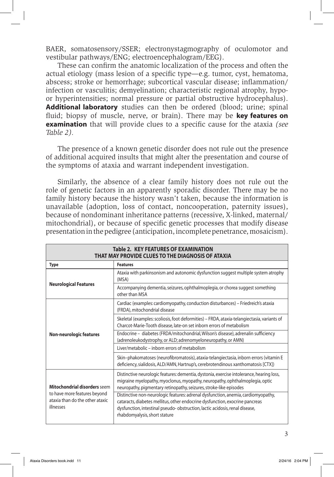BAER, somatosensory/SSER; electronystagmography of oculomotor and vestibular pathways/ENG; electroencephalogram/EEG).

 These can confirm the anatomic localization of the process and often the actual etiology (mass lesion of a specific type—e.g. tumor, cyst, hematoma, abscess; stroke or hemorrhage; subcortical vascular disease; inflammation/ infection or vasculitis; demyelination; characteristic regional atrophy, hypoor hyperintensities; normal pressure or partial obstructive hydrocephalus). **Additional laboratory** studies can then be ordered (blood; urine; spinal fluid; biopsy of muscle, nerve, or brain). There may be **key features on examination** that will provide clues to a specific cause for the ataxia *(see Table 2).*

 The presence of a known genetic disorder does not rule out the presence of additional acquired insults that might alter the presentation and course of the symptoms of ataxia and warrant independent investigation.

Similarly, the absence of a clear family history does not rule out the role of genetic factors in an apparently sporadic disorder. There may be no family history because the history wasn't taken, because the information is unavailable (adoption, loss of contact, noncooperation, paternity issues), because of nondominant inheritance patterns (recessive, X-linked, maternal/ mitochondrial), or because of specific genetic processes that modify disease presentation in the pedigree (anticipation, incomplete penetrance, mosaicism).

| <b>Table 2. KEY FEATURES OF EXAMINATION</b><br>THAT MAY PROVIDE CLUES TO THE DIAGNOSIS OF ATAXIA |                                                                                                                                                                                                                                                                                    |  |  |
|--------------------------------------------------------------------------------------------------|------------------------------------------------------------------------------------------------------------------------------------------------------------------------------------------------------------------------------------------------------------------------------------|--|--|
| <b>Type</b>                                                                                      | <b>Features</b>                                                                                                                                                                                                                                                                    |  |  |
| <b>Neurological Features</b>                                                                     | Ataxia with parkinsonism and autonomic dysfunction suggest multiple system atrophy<br>(MSA)                                                                                                                                                                                        |  |  |
|                                                                                                  | Accompanying dementia, seizures, ophthalmoplegia, or chorea suggest something<br>other than MSA                                                                                                                                                                                    |  |  |
|                                                                                                  | Cardiac (examples: cardiomyopathy, conduction disturbances) - Friedreich's ataxia<br>(FRDA), mitochondrial disease                                                                                                                                                                 |  |  |
|                                                                                                  | Skeletal (examples: scoliosis, foot deformities) – FRDA, ataxia-telangiectasia, variants of<br>Charcot-Marie-Tooth disease, late-on set inborn errors of metabolism                                                                                                                |  |  |
| <b>Non-neurologic features</b>                                                                   | Endocrine - diabetes (FRDA/mitochondrial, Wilson's disease), adrenalin sufficiency<br>(adrenoleukodystrophy, or ALD; adrenomyeloneuropathy, or AMN)                                                                                                                                |  |  |
|                                                                                                  | Liver/metabolic – inborn errors of metabolism                                                                                                                                                                                                                                      |  |  |
|                                                                                                  | Skin-phakomatoses (neurofibromatosis), ataxia-telangiectasia, inborn errors (vitamin E<br>deficiency, sialidosis, ALD/AMN, Hartnup's, cerebrotendinous xanthomatosis [CTX])                                                                                                        |  |  |
| <b>Mitochondrial disorders</b> seem                                                              | Distinctive neurologic features: dementia, dystonia, exercise intolerance, hearing loss,<br>migraine myelopathy, myoclonus, myopathy, neuropathy, ophthalmoplegia, optic<br>neuropathy, pigmentary retinopathy, seizures, stroke-like episodes                                     |  |  |
| to have more features beyond<br>ataxia than do the other ataxic<br>illnesses                     | Distinctive non-neurologic features: adrenal dysfunction, anemia, cardiomyopathy,<br>cataracts, diabetes mellitus, other endocrine dysfunction, exocrine pancreas<br>dysfunction, intestinal pseudo- obstruction, lactic acidosis, renal disease,<br>rhabdomyalysis, short stature |  |  |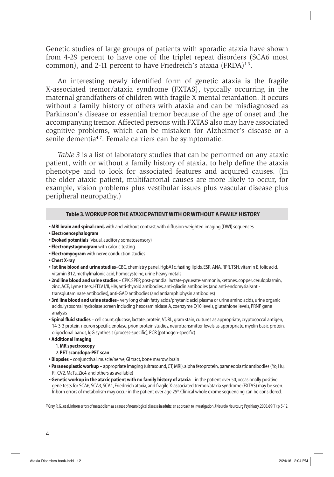Genetic studies of large groups of patients with sporadic ataxia have shown from 4-29 percent to have one of the triplet repeat disorders (SCA6 most common), and 2-11 percent to have Friedreich's ataxia  $(FRDA)^{1-3}$ .

 An interesting newly identified form of genetic ataxia is the fragile X-associated tremor/ataxia syndrome (FXTAS), typically occurring in the maternal grandfathers of children with fragile X mental retardation. It occurs without a family history of others with ataxia and can be misdiagnosed as Parkinson's disease or essential tremor because of the age of onset and the accompanying tremor. Affected persons with FXTAS also may have associated cognitive problems, which can be mistaken for Alzheimer's disease or a senile dementia<sup>4-7</sup>. Female carriers can be symptomatic.

*Table 3* is a list of laboratory studies that can be performed on any ataxic patient, with or without a family history of ataxia, to help define the ataxia phenotype and to look for associated features and acquired causes. (In the older ataxic patient, multifactorial causes are more likely to occur, for example, vision problems plus vestibular issues plus vascular disease plus peripheral neuropathy.)

| Table 3. WORKUP FOR THE ATAXIC PATIENT WITH OR WITHOUT A FAMILY HISTORY                                                                                                                                                                                                                                                                                                                   |
|-------------------------------------------------------------------------------------------------------------------------------------------------------------------------------------------------------------------------------------------------------------------------------------------------------------------------------------------------------------------------------------------|
| . MRI brain and spinal cord, with and without contrast, with diffusion-weighted imaging (DWI) sequences                                                                                                                                                                                                                                                                                   |
| • Electroencephalogram                                                                                                                                                                                                                                                                                                                                                                    |
| • Evoked potentials (visual, auditory, somatosensory)                                                                                                                                                                                                                                                                                                                                     |
| • Electronystagmogram with caloric testing                                                                                                                                                                                                                                                                                                                                                |
| <b>· Electromyogram</b> with nerve conduction studies                                                                                                                                                                                                                                                                                                                                     |
| • Chest X-ray                                                                                                                                                                                                                                                                                                                                                                             |
| • 1st line blood and urine studies-CBC, chemistry panel, HgbA1c, fasting lipids, ESR, ANA, RPR, TSH, vitamin E, folic acid,<br>vitamin B12, methylmalonic acid, homocysteine, urine heavy metals                                                                                                                                                                                          |
| . 2nd line blood and urine studies - CPK, SPEP, post-prandial lactate-pyruvate-ammonia, ketones, copper, ceruloplasmin,<br>zinc, ACE, Lyme titers, HTLV I/II, HIV, anti-thyroid antibodies, anti-gliadin antibodies (and anti-endomysial/anti-<br>transglutaminase antibodies), anti-GAD antibodies (and antiamphiphysin antibodies)                                                      |
| . 3rd line blood and urine studies-very long chain fatty acids/phytanic acid, plasma or urine amino acids, urine organic<br>acids, lysosomal hydrolase screen including hexosaminidase A, coenzyme Q10 levels, glutathione levels, PRNP gene<br>analysis                                                                                                                                  |
| . Spinal fluid studies - cell count, glucose, lactate, protein, VDRL, gram stain, cultures as appropriate, cryptococcal antigen,<br>14-3-3 protein, neuron specific enolase, prion protein studies, neurotransmitter levels as appropriate, myelin basic protein,<br>oligoclonal bands, IgG synthesis (process-specific), PCR (pathogen-specific)                                         |
| • Additional imaging                                                                                                                                                                                                                                                                                                                                                                      |
| 1. MR spectroscopy                                                                                                                                                                                                                                                                                                                                                                        |
| 2. PET scan/dopa-PET scan                                                                                                                                                                                                                                                                                                                                                                 |
| • Biopsies – conjunctival, muscle/nerve, GI tract, bone marrow, brain                                                                                                                                                                                                                                                                                                                     |
| • Paraneoplastic workup – appropriate imaging (ultrasound, CT, MRI), alpha fetoprotein, paraneoplastic antibodies (Yo, Hu,                                                                                                                                                                                                                                                                |
| Ri, CV2, MaTa, Zic4, and others as available)                                                                                                                                                                                                                                                                                                                                             |
| . Genetic workup in the ataxic patient with no family history of ataxia - in the patient over 50, occasionally positive<br>gene tests for SCA6, SCA3, SCA1, Friedreich ataxia, and fragile X-associated tremor/ataxia syndrome (FXTAS) may be seen.<br>Inborn errors of metabolism may occur in the patient over age 25 <sup>a</sup> . Clinical whole exome sequencing can be considered. |
| a Gray, R. G., et al. Inborn errors of metabolism as a cause of neurological disease in adults: an approach to investigation. J Neurolo Neurosurg Psychiatry, 2000. 69 (1): p.5-12.                                                                                                                                                                                                       |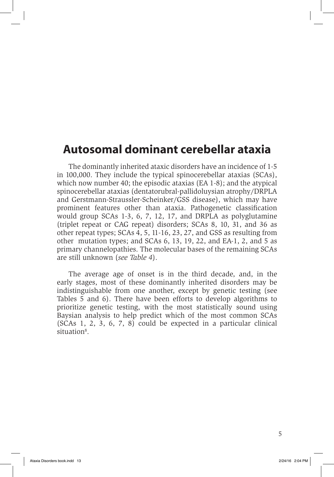#### **Autosomal dominant cerebellar ataxia**

 The dominantly inherited ataxic disorders have an incidence of 1-5 in 100,000. They include the typical spinocerebellar ataxias (SCAs), which now number 40; the episodic ataxias (EA 1-8); and the atypical spinocerebellar ataxias (dentatorubral-pallidoluysian atrophy/DRPLA and Gerstmann-Straussler-Scheinker/GSS disease), which may have prominent features other than ataxia. Pathogenetic classification would group SCAs 1-3, 6, 7, 12, 17, and DRPLA as polyglutamine (triplet repeat or CAG repeat) disorders; SCAs 8, 10, 31, and 36 as other repeat types; SCAs 4, 5, 11-16, 23, 27, and GSS as resulting from other mutation types; and SCAs 6, 13, 19, 22, and EA-1, 2, and 5 as primary channelopathies. The molecular bases of the remaining SCAs are still unknown (*see Table 4*).

 The average age of onset is in the third decade, and, in the early stages, most of these dominantly inherited disorders may be indistinguishable from one another, except by genetic testing (see Tables 5 and 6). There have been efforts to develop algorithms to prioritize genetic testing, with the most statistically sound using Baysian analysis to help predict which of the most common SCAs (SCAs 1, 2, 3, 6, 7, 8) could be expected in a particular clinical situation<sup>8</sup>.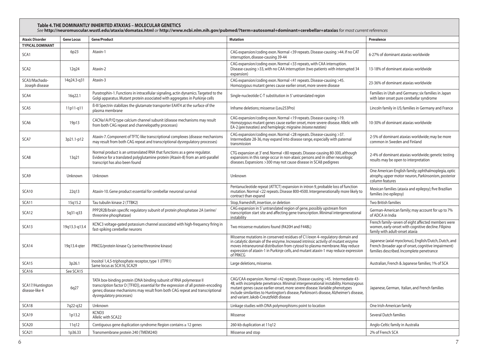#### **Table 4. The Dominantly Inherited Ataxias – Molecular Genetics***See* **http://neuromuscular.wustl.edu/ataxia/domatax.html** *or* **http://www.ncbi.nlm.nih.gov/pubmed/?term=autosomal+dominant+cerebellar+ataxias** *for most current references*

| <b>Ataxic Disorder</b>             | <b>Gene Locus</b> | <b>Gene/Product</b>                                                                                                                                                                                                                                                      | <b>Mutation</b>                                                                                                                                                                                                                                                                                                                                                                     | Prevalence                                                                                                                                                |
|------------------------------------|-------------------|--------------------------------------------------------------------------------------------------------------------------------------------------------------------------------------------------------------------------------------------------------------------------|-------------------------------------------------------------------------------------------------------------------------------------------------------------------------------------------------------------------------------------------------------------------------------------------------------------------------------------------------------------------------------------|-----------------------------------------------------------------------------------------------------------------------------------------------------------|
| <b>TYPICAL DOMINANT</b>            |                   |                                                                                                                                                                                                                                                                          |                                                                                                                                                                                                                                                                                                                                                                                     |                                                                                                                                                           |
| SCA1                               | 6p23              | Ataxin-1                                                                                                                                                                                                                                                                 | CAG expansion/coding exon. Normal <39 repeats. Disease-causing >44. If no CAT<br>interruption, disease-causing 39-44                                                                                                                                                                                                                                                                | 6-27% of dominant ataxias worldwide                                                                                                                       |
| SCA <sub>2</sub>                   | 12q24             | Ataxin-2                                                                                                                                                                                                                                                                 | CAG expansion/coding exon. Normal <33 repeats, with CAA interruption.<br>Disease-causing >33, with no CAA interruption (two patients with interrupted 34<br>expansion)                                                                                                                                                                                                              | 13-18% of dominant ataxias worldwide                                                                                                                      |
| SCA3/Machado-<br>Joseph disease    | 14q24.3-q31       | Ataxin-3                                                                                                                                                                                                                                                                 | CAG expansion/coding exon. Normal <41 repeats. Disease-causing >45.<br>Homozygous mutant genes cause earlier onset, more severe disease                                                                                                                                                                                                                                             | 23-36% of dominant ataxias worldwide                                                                                                                      |
| SCA4                               | 16q22.1           | Puratrophin-1. Functions in intracellular signaling, actin dynamics. Targeted to the<br>Golgi apparatus. Mutant protein associated with aggregates in Purkinje cells                                                                                                     | Single-nucleotide C-T substitution in 5' untranslated region                                                                                                                                                                                                                                                                                                                        | Families in Utah and Germany; six families in Japan<br>with later onset pure cerebellar syndrome                                                          |
| SCA5                               | 11p11-q11         | B-III Spectrin stabilizes the glutamate transporter EAAT4 at the surface of the<br>plasma membrane                                                                                                                                                                       | Inframe deletions; missense (Leu253Pro)                                                                                                                                                                                                                                                                                                                                             | Lincoln family in US; families in Germany and France                                                                                                      |
| SCA6                               | 19p13             | CACNa1A/P/Q type calcium channel subunit (disease mechanisms may result<br>from both CAG repeat and channelopathy processes)                                                                                                                                             | CAG expansion/coding exon. Normal <19 repeats. Disease-causing >19.<br>Homozygous mutant genes cause earlier onset, more severe disease. Allelic with<br>EA-2 (gene truncations) and hemiplegic migraine (missense mutations)                                                                                                                                                       | 10-30% of dominant ataxias worldwide                                                                                                                      |
| SCA7                               | 3p21.1-p12        | Ataxin-7. Component of TFTC-like transcriptional complexes (disease mechanisms<br>may result from both CAG repeat and transcriptional dysregulatory processes)                                                                                                           | CAG expansion/coding exon. Normal <28 repeats. Disease-causing >37.<br>Intermediate 28-36, may expand into disease range, especially with paternal<br>transmission                                                                                                                                                                                                                  | 2-5% of dominant ataxias worldwide; may be more<br>common in Sweden and Finland                                                                           |
| SCA8                               | 13q21             | Normal product is an untranslated RNA that functions as a gene regulator.<br>Evidence for a translated polyglutamine protein (Ataxin-8) from an anti-parallel<br>transcript has also been found                                                                          | CTG expansion at 3' end. Normal <80 repeats. Disease-causing 80-300, although<br>expansions in this range occur in non-ataxic persons and in other neurologic<br>diseases. Expansions >300 may not cause disease in SCA8 pedigrees                                                                                                                                                  | 2-4% of dominant ataxias worldwide; genetic testing<br>results may be open to interpretation                                                              |
| SCA9                               | Unknown           | Unknown                                                                                                                                                                                                                                                                  | Unknown                                                                                                                                                                                                                                                                                                                                                                             | One American-English family; ophthalmoplegia, optic<br>atrophy, upper motor neuron, Parkinsonism, posterior<br>column features                            |
| SCA10                              | 22q13             | Ataxin-10. Gene product essential for cerebellar neuronal survival                                                                                                                                                                                                       | Pentanucleotide repeat (ATTCT) expansion in intron 9, probable loss of function<br>mutation. Normal <22 repeats. Disease 800-4500. Intergenerationally more likely to<br>contract than expand                                                                                                                                                                                       | Mexican families (ataxia and epilepsy); five Brazilian<br>families (no epilepsy)                                                                          |
| SCA11                              | 15q15.2           | Tau tubulin kinase 2 (TTBK2)                                                                                                                                                                                                                                             | Stop, frameshift, insertion, or deletion                                                                                                                                                                                                                                                                                                                                            | Two British families                                                                                                                                      |
| SCA12                              | 5q31-q33          | PPP2R2B/brain specific regulatory subunit of protein phosphatase 2A (serine/<br>threonine phosphatase)                                                                                                                                                                   | CAG expansion in 5' untranslated region of gene, possibly upstream from<br>transcription start site and affecting gene transcription. Minimal intergenerational<br>instability                                                                                                                                                                                                      | German-American family; may account for up to 7%<br>of ADCA in India                                                                                      |
| SCA13                              | 19q13.3-q13.4     | KCNC3 voltage-gated potassium channel associated with high-frequency firing in<br>fast-spiking cerebellar neurons                                                                                                                                                        | Two missense mutations found (R420H and F448L)                                                                                                                                                                                                                                                                                                                                      | French family-seven of eight affected members were<br>women, early-onset with cognitive decline. Filipino<br>family with adult-onset ataxia               |
| SCA14                              | 19q13.4-gter      | PRKCG/protein kinase Cy (serine/threonine kinase)                                                                                                                                                                                                                        | Missense mutations in conserved residues of C1/exon 4-regulatory domain and<br>in catalytic domain of the enzyme. Increased intrinsic activity of mutant enzyme<br>moves intraneuronal distribution from cytosol to plasma membrane. May reduce<br>expression of ataxin-1 in Purkinje cells, and mutant ataxin-1 may reduce expression<br>of PRKCG                                  | Japanese (axial myoclonus), English/Dutch, Dutch, and<br>French (broader age of onset, cognitive impairment)<br>families described. Incomplete penetrance |
| SCA15                              | 3p26.1            | Inositol 1,4,5-triphosphate receptor, type 1 (ITPR1)<br>Same locus as SCA16, SCA29                                                                                                                                                                                       | Large deletions, missense.                                                                                                                                                                                                                                                                                                                                                          | Australian, French & Japanese families; 1% of SCA                                                                                                         |
| SCA16                              | See SCA15         |                                                                                                                                                                                                                                                                          |                                                                                                                                                                                                                                                                                                                                                                                     |                                                                                                                                                           |
| SCA17/Huntington<br>disease-like 4 | 6q27              | TATA box-binding protein (DNA binding subunit of RNA polymerase II<br>transcription factor D [TFIID]), essential for the expression of all protein-encoding<br>genes; disease mechanisms may result from both CAG repeat and transcriptional<br>dysregulatory processes) | CAG/CAA expansion. Normal <42 repeats. Disease-causing >45. Intermediate 43-<br>48, with incomplete penetrance. Minimal intergenerational instability. Homozygous<br>mutant genes cause earlier-onset, more severe disease. Variable phenotypes<br>include similarities to Huntington's disease, Parkinson's disease, Alzheimer's disease,<br>and variant Jakob-Creutzfeldt disease | Japanese, German, Italian, and French families                                                                                                            |
| SCA18                              | 7q22-q32          | Unknown                                                                                                                                                                                                                                                                  | Linkage studies with DNA polymorphisms point to location                                                                                                                                                                                                                                                                                                                            | One Irish-American family                                                                                                                                 |
| SCA19                              | 1p13.2            | KCND3<br>Allelic with SCA22                                                                                                                                                                                                                                              | Missense                                                                                                                                                                                                                                                                                                                                                                            | Several Dutch families                                                                                                                                    |
| SCA20                              | 11q12             | Contiguous gene duplication syndrome: Region contains ≥ 12 genes                                                                                                                                                                                                         | 260-kb duplication at 11q12                                                                                                                                                                                                                                                                                                                                                         | Anglo-Celtic family in Australia                                                                                                                          |
| SCA21                              | 1p36.33           | Transmembrane protein 240 (TMEM240)                                                                                                                                                                                                                                      | Missense and stop                                                                                                                                                                                                                                                                                                                                                                   | 2% of French SCA                                                                                                                                          |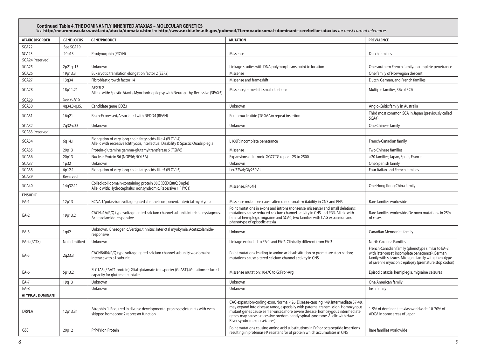| <b>Continued Table 4. THE DOMINANTLY INHERITED ATAXIAS - MOLECULAR GENETICS</b><br>See http://neuromuscular.wustl.edu/ataxia/domatax.html or http://www.ncbi.nlm.nih.gov/pubmed/?term=autosomal+dominant+cerebellar+ataxias for most current references |                   |                                                                                                                                                |                                                                                                                                                                                                                                                                                                                                                                      |                                                                                                                                                                                                                        |  |
|---------------------------------------------------------------------------------------------------------------------------------------------------------------------------------------------------------------------------------------------------------|-------------------|------------------------------------------------------------------------------------------------------------------------------------------------|----------------------------------------------------------------------------------------------------------------------------------------------------------------------------------------------------------------------------------------------------------------------------------------------------------------------------------------------------------------------|------------------------------------------------------------------------------------------------------------------------------------------------------------------------------------------------------------------------|--|
| <b>ATAXIC DISORDER</b>                                                                                                                                                                                                                                  | <b>GENE LOCUS</b> | <b>GENE/PRODUCT</b>                                                                                                                            | <b>MUTATION</b>                                                                                                                                                                                                                                                                                                                                                      | <b>PREVALENCE</b>                                                                                                                                                                                                      |  |
| SCA22                                                                                                                                                                                                                                                   | See SCA19         |                                                                                                                                                |                                                                                                                                                                                                                                                                                                                                                                      |                                                                                                                                                                                                                        |  |
| SCA <sub>23</sub>                                                                                                                                                                                                                                       | 20p13             | Prodynorphin (PDYN)                                                                                                                            | Missense                                                                                                                                                                                                                                                                                                                                                             | Dutch families                                                                                                                                                                                                         |  |
| SCA24 (reserved)                                                                                                                                                                                                                                        |                   |                                                                                                                                                |                                                                                                                                                                                                                                                                                                                                                                      |                                                                                                                                                                                                                        |  |
| SCA <sub>25</sub>                                                                                                                                                                                                                                       | 2p21-p13          | <b>Unknown</b>                                                                                                                                 | Linkage studies with DNA polymorphisms point to location                                                                                                                                                                                                                                                                                                             | One southern French family. Incomplete penetrance                                                                                                                                                                      |  |
| SCA <sub>26</sub>                                                                                                                                                                                                                                       | 19p13.3           | Eukaryotic translation elongation factor 2 (EEF2)                                                                                              | Missense                                                                                                                                                                                                                                                                                                                                                             | One family of Norwegian descent                                                                                                                                                                                        |  |
| SCA27                                                                                                                                                                                                                                                   | 13q34             | Fibroblast growth factor 14                                                                                                                    | Missense and frameshift                                                                                                                                                                                                                                                                                                                                              | Dutch, German, and French families                                                                                                                                                                                     |  |
| SCA <sub>28</sub>                                                                                                                                                                                                                                       | 18p11.21          | AFG3L2<br>Allelic with: Spastic Ataxia, Myoclonic epilepsy with Neuropathy, Recessive (SPAX5)                                                  | Missense, frameshift, small deletions                                                                                                                                                                                                                                                                                                                                | Multiple families, 3% of SCA                                                                                                                                                                                           |  |
| SCA <sub>29</sub>                                                                                                                                                                                                                                       | See SCA15         |                                                                                                                                                |                                                                                                                                                                                                                                                                                                                                                                      |                                                                                                                                                                                                                        |  |
| SCA30                                                                                                                                                                                                                                                   | 4q34.3-q35.1      | Candidate gene ODZ3                                                                                                                            | Unknown                                                                                                                                                                                                                                                                                                                                                              | Anglo-Celtic family in Australia                                                                                                                                                                                       |  |
| SCA31                                                                                                                                                                                                                                                   | 16q21             | Brain-Expressed, Associated with NEDD4 (BEAN)                                                                                                  | Penta-nucleotide (TGGAA)n repeat insertion                                                                                                                                                                                                                                                                                                                           | Third most common SCA in Japan (previously called<br>SCA4)                                                                                                                                                             |  |
| SCA32                                                                                                                                                                                                                                                   | 7q32-q33          | Unknown                                                                                                                                        | Unknown                                                                                                                                                                                                                                                                                                                                                              | One Chinese family                                                                                                                                                                                                     |  |
| SCA33 (reserved)                                                                                                                                                                                                                                        |                   |                                                                                                                                                |                                                                                                                                                                                                                                                                                                                                                                      |                                                                                                                                                                                                                        |  |
| SCA34                                                                                                                                                                                                                                                   | 6q14.1            | Elongation of very long chain fatty acids-like 4 (ELOVL4)<br>Allelic with recessive Ichthyosis, Intellectual Disability & Spastic Quadriplegia | L168F; incomplete penetrance                                                                                                                                                                                                                                                                                                                                         | French-Canadian family                                                                                                                                                                                                 |  |
| SCA35                                                                                                                                                                                                                                                   | 20p13             | Protein-glutamine gamma-glutamyltransferase 6 (TGM6)                                                                                           | Missense                                                                                                                                                                                                                                                                                                                                                             | <b>Two Chinese families</b>                                                                                                                                                                                            |  |
| SCA36                                                                                                                                                                                                                                                   | 20p13             | Nuclear Protein 56 (NOP56; NOL5A)                                                                                                              | Expansions of Intronic GGCCTG repeat: 25 to 2500                                                                                                                                                                                                                                                                                                                     | >20 families; Japan, Spain, France                                                                                                                                                                                     |  |
| SCA37                                                                                                                                                                                                                                                   | 1p32              | <b>Unknown</b>                                                                                                                                 | Unknown                                                                                                                                                                                                                                                                                                                                                              | One Spanish family                                                                                                                                                                                                     |  |
| SCA38                                                                                                                                                                                                                                                   | 6p12.1            | Elongation of very long chain fatty acids-like 5 (ELOVL5)                                                                                      | Leu72Val; Gly230Val                                                                                                                                                                                                                                                                                                                                                  | Four Italian and French families                                                                                                                                                                                       |  |
| SCA39                                                                                                                                                                                                                                                   | Reserved          |                                                                                                                                                |                                                                                                                                                                                                                                                                                                                                                                      |                                                                                                                                                                                                                        |  |
| SCA40                                                                                                                                                                                                                                                   | 14q32.11          | Coiled-coil domain-containing protein 88C (CCDC88C; Daple)<br>Allelic with: Hydrocephalus, nonsyndromic, Recessive 1 (HYC1)                    | Missense, R464H                                                                                                                                                                                                                                                                                                                                                      | One Hong Kong China family                                                                                                                                                                                             |  |
| <b>EPISODIC</b>                                                                                                                                                                                                                                         |                   |                                                                                                                                                |                                                                                                                                                                                                                                                                                                                                                                      |                                                                                                                                                                                                                        |  |
| $EA-1$                                                                                                                                                                                                                                                  | 12p13             | KCNA 1/potassium voltage-gated channel component. Interictal myokymia                                                                          | Missense mutations cause altered neuronal excitability in CNS and PNS                                                                                                                                                                                                                                                                                                | Rare families worldwide                                                                                                                                                                                                |  |
| $EA-2$                                                                                                                                                                                                                                                  | 19p13.2           | CACNa1A/P/Q type voltage-gated calcium channel subunit. Interictal nystagmus.<br>Acetazolamide-responsive                                      | Point mutations in exons and introns (nonsense, missense) and small deletions;<br>mutations cause reduced calcium channel activity in CNS and PNS. Allelic with<br>familial hemiplegic migraine and SCA6; two families with CAG expansion and<br>phenotype of episodic ataxia                                                                                        | Rare families worldwide. De novo mutations in 25%<br>of cases                                                                                                                                                          |  |
| EA-3                                                                                                                                                                                                                                                    | 1q42              | Unknown. Kinesogenic. Vertigo, tinnitus. Interictal myokymia. Acetazolamide-<br>responsive                                                     | Unknown                                                                                                                                                                                                                                                                                                                                                              | Canadian Mennonite family                                                                                                                                                                                              |  |
| EA-4 (PATX)                                                                                                                                                                                                                                             | Not identified    | Unknown                                                                                                                                        | Linkage excluded to EA-1 and EA-2. Clinically different from EA-3                                                                                                                                                                                                                                                                                                    | <b>North Carolina Families</b>                                                                                                                                                                                         |  |
| $EA-5$                                                                                                                                                                                                                                                  | 2q23.3            | CACNB4ß4/P/Q type voltage-gated calcium channel subunit; two domains<br>interact with a1 subunit                                               | Point mutations leading to amino acid substitution or premature stop codon;<br>mutations cause altered calcium channel activity in CNS                                                                                                                                                                                                                               | French-Canadian family (phenotype similar to EA-2<br>with later-onset, incomplete penetrance). German<br>family with seizures. Michigan family with phenotype<br>of juvenile myoclonic epilepsy (premature stop codon) |  |
| EA-6                                                                                                                                                                                                                                                    | 5p13.2            | SLC1A3 (EAAT1 protein). Glial glutamate transporter (GLAST). Mutation: reduced<br>capacity for glutamate uptake                                | Missense mutation; 1047C to G; Pro>Arg                                                                                                                                                                                                                                                                                                                               | Episodic ataxia, hemiplegia, migraine, seizures                                                                                                                                                                        |  |
| EA-7                                                                                                                                                                                                                                                    | 19q13             | Unknown                                                                                                                                        | Unknown                                                                                                                                                                                                                                                                                                                                                              | One American family                                                                                                                                                                                                    |  |
| EA-8                                                                                                                                                                                                                                                    |                   | Unknown                                                                                                                                        | Unknown                                                                                                                                                                                                                                                                                                                                                              | Irish family                                                                                                                                                                                                           |  |
| <b>ATYPICAL DOMINANT</b>                                                                                                                                                                                                                                |                   |                                                                                                                                                |                                                                                                                                                                                                                                                                                                                                                                      |                                                                                                                                                                                                                        |  |
| <b>DRPLA</b>                                                                                                                                                                                                                                            | 12p13.31          | Atrophin-1. Required in diverse developmental processes; interacts with even-<br>skipped homeobox 2 repressor function                         | CAG expansion/coding exon. Normal <26. Disease-causing >49. Intermediate 37-48,<br>may expand into disease range, especially with paternal transmission. Homozygous<br>mutant genes cause earlier-onset, more severe disease; homozygous intermediate<br>genes may cause a recessive predominantly spinal syndrome. Allelic with Haw<br>River syndrome (no seizures) | 1-5% of dominant ataxias worldwide; 10-20% of<br>ADCA in some areas of Japan                                                                                                                                           |  |
| GSS                                                                                                                                                                                                                                                     | 20p12             | PrP/Prion Protein                                                                                                                              | Point mutations causing amino acid substitutions in PrP or octapeptide insertions,<br>resulting in proteinase K resistant for of protein which accumulates in CNS                                                                                                                                                                                                    | Rare families worldwide                                                                                                                                                                                                |  |

 $\sqrt{2}$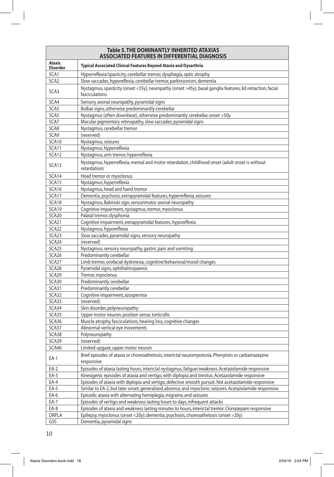| Table 5. THE DOMINANTLY INHERITED ATAXIAS<br><b>ASSOCIATED FEATURES IN DIFFERENTIAL DIAGNOSIS</b> |                                                                                                                                                                                                          |  |  |
|---------------------------------------------------------------------------------------------------|----------------------------------------------------------------------------------------------------------------------------------------------------------------------------------------------------------|--|--|
| <b>Ataxic</b><br><b>Disorder</b>                                                                  | Typical Associated Clinical Features Beyond Ataxia and Dysarthria                                                                                                                                        |  |  |
| SCA1                                                                                              | Hyperreflexia/spasticity, cerebellar tremor, dysphagia, optic atrophy                                                                                                                                    |  |  |
| SCA <sub>2</sub>                                                                                  | Slow saccades, hyporeflexia, cerebellar tremor, parkinsonism, dementia                                                                                                                                   |  |  |
| SCA3                                                                                              | Nystagmus, spasticity (onset <35y), neuropathy (onset >45y), basal ganglia features, lid retraction, facial<br>fasciculations                                                                            |  |  |
| SCA4                                                                                              | Sensory axonal neuropathy, pyramidal signs                                                                                                                                                               |  |  |
| SCA <sub>5</sub>                                                                                  | Bulbar signs, otherwise predominantly cerebellar                                                                                                                                                         |  |  |
| SCA5                                                                                              | Nystagmus (often downbeat), otherwise predominantly cerebellar, onset >50y                                                                                                                               |  |  |
| SCA7                                                                                              | Macular pigmentary retinopathy, slow saccades, pyramidal signs                                                                                                                                           |  |  |
| SCA8                                                                                              | Nystagmus, cerebellar tremor                                                                                                                                                                             |  |  |
| SCA9                                                                                              | (reserved)                                                                                                                                                                                               |  |  |
| SCA10                                                                                             | Nystagmus, seizures                                                                                                                                                                                      |  |  |
| SCA11                                                                                             | Nystagmus, hyperreflexia                                                                                                                                                                                 |  |  |
| SCA12                                                                                             | Nystagmus, arm tremor, hyperreflexia                                                                                                                                                                     |  |  |
| SCA13                                                                                             | Nystagmus, hyperreflexia, mental and motor retardation, childhood onset (adult onset is without<br>retardation)                                                                                          |  |  |
| SCA14                                                                                             | Head tremor or myoclonus                                                                                                                                                                                 |  |  |
| SCA15                                                                                             | Nystagmus, hyperreflexia                                                                                                                                                                                 |  |  |
| SCA16                                                                                             | Nystagmus, head and hand tremor                                                                                                                                                                          |  |  |
| SCA17                                                                                             | Dementia, psychosis, extrapyramidal features, hyperreflexia, seizures                                                                                                                                    |  |  |
| SCA18                                                                                             | Nystagmus, Babinski sign, sensorimotor axonal neuropathy                                                                                                                                                 |  |  |
| SCA19                                                                                             | Cognitive impairment, nystagmus, tremor, myoclonus                                                                                                                                                       |  |  |
| SCA20                                                                                             | Palatal tremor, dysphonia                                                                                                                                                                                |  |  |
| SCA21                                                                                             | Cognitive impairment, extrapyramidal features, hyporeflexia                                                                                                                                              |  |  |
| SCA22                                                                                             | Nystagmus, hyporeflexia                                                                                                                                                                                  |  |  |
| SCA <sub>23</sub>                                                                                 | Slow saccades, pyramidal signs, sensory neuropathy                                                                                                                                                       |  |  |
| SCA24                                                                                             | (reserved)                                                                                                                                                                                               |  |  |
| SCA25                                                                                             | Nystagmus, sensory neuropathy, gastric pain and vomiting                                                                                                                                                 |  |  |
| SCA26                                                                                             | Predominantly cerebellar                                                                                                                                                                                 |  |  |
| SCA <sub>27</sub>                                                                                 | Limb tremor, orofacial dyskinesia, cognitive/behavioral/mood changes                                                                                                                                     |  |  |
| SCA28                                                                                             | Pyramidal signs, ophthalmoparesis                                                                                                                                                                        |  |  |
| SCA29                                                                                             | Tremor, myoclonus                                                                                                                                                                                        |  |  |
| SCA30                                                                                             | Predominantly cerebellar                                                                                                                                                                                 |  |  |
| SCA31                                                                                             | Predominantly cerebellar                                                                                                                                                                                 |  |  |
| SCA32                                                                                             | Cognitive impairment, azospermia                                                                                                                                                                         |  |  |
| SCA33                                                                                             | (reserved)                                                                                                                                                                                               |  |  |
| SCA34                                                                                             | Skin disorder, polyneuropathy                                                                                                                                                                            |  |  |
| SCA35                                                                                             | Upper motor neuron, position sense, torticollis                                                                                                                                                          |  |  |
| SCA36                                                                                             | Muscle atrophy, fasciculations, hearing loss, cognitive changes                                                                                                                                          |  |  |
| SCA37                                                                                             | Abnormal vertical eye movements                                                                                                                                                                          |  |  |
| SCA38                                                                                             | Polyneuropathy                                                                                                                                                                                           |  |  |
| SCA39                                                                                             | (reserved)                                                                                                                                                                                               |  |  |
| SCA40<br>$EA-1$                                                                                   | Limited upgaze, upper motor neuron<br>Brief episodes of ataxia or choreoathetosis, interictal neuromyotonia. Phenytoin or carbamazepine                                                                  |  |  |
|                                                                                                   | responsive                                                                                                                                                                                               |  |  |
| $EA-2$<br>$EA-3$                                                                                  | Episodes of ataxia lasting hours, interictal nystagmus, fatigue/weakness. Acetazolamide responsive                                                                                                       |  |  |
| EA-4                                                                                              | Kinesigenic episodes of ataxia and vertigo, with diplopia and tinnitus. Acetazolamide responsive<br>Episodes of ataxia with diplopia and vertigo, defective smooth pursuit. Not acetazolamide responsive |  |  |
| $EA-5$                                                                                            | Similar to EA-2, but later onset; generalized, absence, and myoclonic seizures. Acetazolamide responsive                                                                                                 |  |  |
| EA-6                                                                                              | Episodic ataxia with alternating hemiplegia, migraine, and seizures                                                                                                                                      |  |  |
| EA-7                                                                                              | Episodes of vertigo and weakness lasting hours to days, infrequent attacks                                                                                                                               |  |  |
| EA-8                                                                                              | Episodes of ataxia and weakness lasting minutes to hours, interictal tremor. Clonazepam responsive                                                                                                       |  |  |
| <b>DRPLA</b>                                                                                      | Epilepsy, myoclonus (onset <20y); dementia, psychosis, choreoathetosis (onset >20y)                                                                                                                      |  |  |
| GSS                                                                                               | Dementia, pyramidal signs                                                                                                                                                                                |  |  |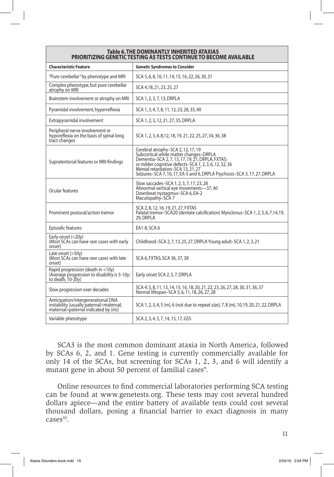#### **Table 6. The Dominantly Inherited Ataxias Prioritizing Genetic Testing as Tests Continue to Become Available**

| <b>Characteristic Feature</b>                                                                                             | <b>Genetic Syndromes to Consider</b>                                                                                                                                                                                                                                                                        |  |  |  |
|---------------------------------------------------------------------------------------------------------------------------|-------------------------------------------------------------------------------------------------------------------------------------------------------------------------------------------------------------------------------------------------------------------------------------------------------------|--|--|--|
| "Pure cerebellar" by phenotype and MRI                                                                                    | SCA 5, 6, 8, 10, 11, 14, 15, 16, 22, 26, 30, 31                                                                                                                                                                                                                                                             |  |  |  |
| Complex phenotype, but pure cerebellar<br>atrophy on MRI                                                                  | SCA 4, 18, 21, 23, 25, 27                                                                                                                                                                                                                                                                                   |  |  |  |
| Brainstem involvement or atrophy on MRI                                                                                   | SCA 1, 2, 3, 7, 13, DRPLA                                                                                                                                                                                                                                                                                   |  |  |  |
| Pyramidal involvement, hyperreflexia                                                                                      | SCA 1, 3, 4, 7, 8, 11, 12, 23, 28, 35, 40                                                                                                                                                                                                                                                                   |  |  |  |
| Extrapyramidal involvement                                                                                                | SCA 1, 2, 3, 12, 21, 27, 35, DRPLA                                                                                                                                                                                                                                                                          |  |  |  |
| Peripheral nerve involvement or<br>hyporeflexia on the basis of spinal long<br>tract changes                              | SCA 1, 2, 3, 4, 8, 12, 18, 19, 21, 22, 25, 27, 34, 36, 38                                                                                                                                                                                                                                                   |  |  |  |
| Supratentorial features or MRI findings                                                                                   | Cerebral atrophy-SCA 2, 12, 17, 19<br>Subcortical white matter changes-DRPLA<br>Dementia-SCA 2, 7, 13, 17, 19, 21, DRPLA, FXTAS;<br>or milder cognitive defects-SCA 1, 2, 3, 6, 12, 32, 36<br>Mental retardation-SCA 13, 21, 27<br>Seizures-SCA 7, 10, 17, EA-5 and 6, DRPLA Psychosis-SCA 3, 17, 27, DRPLA |  |  |  |
| Ocular features                                                                                                           | Slow saccades-SCA 1, 2, 3, 7, 17, 23, 28<br>Abnormal vertical eye movements-37,40<br>Downbeat nystagmus-SCA 6, EA-2<br>Maculopathy-SCA 7                                                                                                                                                                    |  |  |  |
| Prominent postural/action tremor                                                                                          | SCA 2, 8, 12, 16, 19, 21, 27, FXTAS<br>Palatal tremor-SCA20 (dentate calcification) Myoclonus-SCA 1, 2, 3, 6, 7, 14, 19,<br>29, DRPLA                                                                                                                                                                       |  |  |  |
| Episodic features                                                                                                         | EA1-8, SCA 6                                                                                                                                                                                                                                                                                                |  |  |  |
| Early onset (<20y)<br>(Most SCAs can have rare cases with early<br>onset)                                                 | Childhood-SCA 2, 7, 13, 25, 27, DRPLA Young adult-SCA 1, 2, 3, 21                                                                                                                                                                                                                                           |  |  |  |
| Late onset (>50y)<br>(Most SCAs can have rare cases with late<br>onset)                                                   | SCA 6, FXTAS, SCA 36, 37, 38                                                                                                                                                                                                                                                                                |  |  |  |
| Rapid progression (death in $\langle 10y \rangle$<br>(Average progression to disability is 5-10y;<br>to death, $10-20y$ ) | Early onset SCA 2, 3, 7, DRPLA                                                                                                                                                                                                                                                                              |  |  |  |
| Slow progression over decades                                                                                             | SCA 4, 5, 8, 11, 13, 14, 15, 16, 18, 20, 21, 22, 23, 26, 27, 28, 30, 31, 36, 37<br>Normal lifespan-SCA 5, 6, 11, 18, 26, 27, 28                                                                                                                                                                             |  |  |  |
| Anticipation/intergenerational DNA<br>instability (usually paternal>maternal;<br>maternal>paternal indicated by (m))      | SCA 1, 2, 3, 4, 5 (m), 6 (not due to repeat size), 7, 8 (m), 10, 19, 20, 21, 22, DRPLA                                                                                                                                                                                                                      |  |  |  |
| Variable phenotype                                                                                                        | SCA 2, 3, 4, 5, 7, 14, 15, 17, GSS                                                                                                                                                                                                                                                                          |  |  |  |

 SCA3 is the most common dominant ataxia in North America, followed by SCAs 6, 2, and 1. Gene testing is currently commercially available for only 14 of the SCAs, but screening for SCAs 1, 2, 3, and 6 will identify a mutant gene in about 50 percent of familial cases<sup>9</sup>.

 Online resources to find commercial laboratories performing SCA testing can be found at www.genetests.org. These tests may cost several hundred dollars apiece—and the entire battery of available tests could cost several thousand dollars, posing a financial barrier to exact diagnosis in many  $cases<sup>10</sup>$ .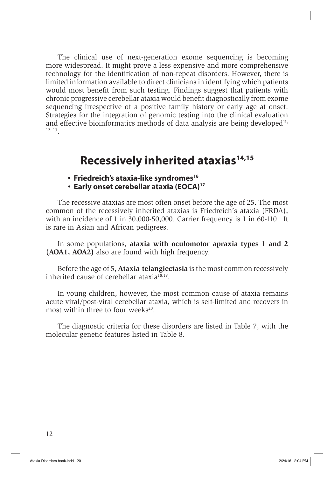The clinical use of next-generation exome sequencing is becoming more widespread. It might prove a less expensive and more comprehensive technology for the identification of non-repeat disorders. However, there is limited information available to direct clinicians in identifying which patients would most benefit from such testing. Findings suggest that patients with chronic progressive cerebellar ataxia would benefit diagnostically from exome sequencing irrespective of a positive family history or early age at onset. Strategies for the integration of genomic testing into the clinical evaluation and effective bioinformatics methods of data analysis are being developed<sup>11,</sup> 12, 13.

#### **Recessively inherited ataxias14,15**

- **Friedreich's ataxia-like syndromes<sup>16</sup>**
- **Early onset cerebellar ataxia (EOCA)17**

The recessive ataxias are most often onset before the age of 25. The most common of the recessively inherited ataxias is Friedreich's ataxia (FRDA), with an incidence of 1 in 30,000-50,000. Carrier frequency is 1 in 60-110. It is rare in Asian and African pedigrees.

 In some populations, **ataxia with oculomotor apraxia types 1 and 2 (AOA1, AOA2)** also are found with high frequency.

Before the age of 5, **Ataxia-telangiectasia** is the most common recessively inherited cause of cerebellar ataxia18,19.

 In young children, however, the most common cause of ataxia remains acute viral/post-viral cerebellar ataxia, which is self-limited and recovers in most within three to four weeks $20$ .

 The diagnostic criteria for these disorders are listed in Table 7, with the molecular genetic features listed in Table 8.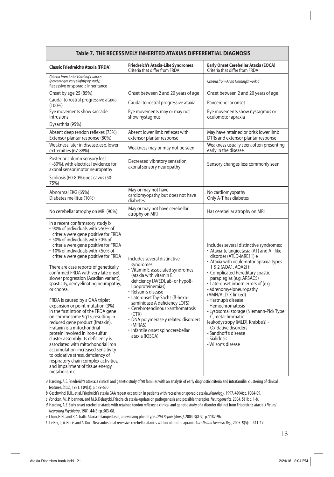| Table 7. THE RECESSIVELY INHERITED ATAXIAS DIFFERENTIAL DIAGNOSIS                                                                                                                                                                                                                                                                                                                                                                                                                                                                                                                                                                                                                                                                                                                                                                                                                                                                                                       |                                                                                                                                                                                                                                                                                                                                                                                                                    |                                                                                                                                                                                                                                                                                                                                                                                                                                                                                                                                                                              |  |  |
|-------------------------------------------------------------------------------------------------------------------------------------------------------------------------------------------------------------------------------------------------------------------------------------------------------------------------------------------------------------------------------------------------------------------------------------------------------------------------------------------------------------------------------------------------------------------------------------------------------------------------------------------------------------------------------------------------------------------------------------------------------------------------------------------------------------------------------------------------------------------------------------------------------------------------------------------------------------------------|--------------------------------------------------------------------------------------------------------------------------------------------------------------------------------------------------------------------------------------------------------------------------------------------------------------------------------------------------------------------------------------------------------------------|------------------------------------------------------------------------------------------------------------------------------------------------------------------------------------------------------------------------------------------------------------------------------------------------------------------------------------------------------------------------------------------------------------------------------------------------------------------------------------------------------------------------------------------------------------------------------|--|--|
| <b>Classic Friedreich's Ataxia (FRDA)</b>                                                                                                                                                                                                                                                                                                                                                                                                                                                                                                                                                                                                                                                                                                                                                                                                                                                                                                                               | Friedreich's Ataxia-Like Syndromes<br>Criteria that differ from FRDA                                                                                                                                                                                                                                                                                                                                               | Early Onset Cerebellar Ataxia (EOCA)<br>Criteria that differ from FRDA                                                                                                                                                                                                                                                                                                                                                                                                                                                                                                       |  |  |
| Criteria from Anita Harding's work a<br>(percentages vary slightly by study)<br>Recessive or sporadic inheritance                                                                                                                                                                                                                                                                                                                                                                                                                                                                                                                                                                                                                                                                                                                                                                                                                                                       |                                                                                                                                                                                                                                                                                                                                                                                                                    | Criteria from Anita Harding's work d                                                                                                                                                                                                                                                                                                                                                                                                                                                                                                                                         |  |  |
| Onset by age 25 (85%)                                                                                                                                                                                                                                                                                                                                                                                                                                                                                                                                                                                                                                                                                                                                                                                                                                                                                                                                                   | Onset between 2 and 20 years of age                                                                                                                                                                                                                                                                                                                                                                                | Onset between 2 and 20 years of age                                                                                                                                                                                                                                                                                                                                                                                                                                                                                                                                          |  |  |
| Caudal to rostral progressive ataxia<br>$(100\%)$                                                                                                                                                                                                                                                                                                                                                                                                                                                                                                                                                                                                                                                                                                                                                                                                                                                                                                                       | Caudal to rostral progressive ataxia                                                                                                                                                                                                                                                                                                                                                                               | Pancerebellar onset                                                                                                                                                                                                                                                                                                                                                                                                                                                                                                                                                          |  |  |
| Eye movements show saccade<br>intrusions                                                                                                                                                                                                                                                                                                                                                                                                                                                                                                                                                                                                                                                                                                                                                                                                                                                                                                                                | Eye movements may or may not<br>show nystagmus                                                                                                                                                                                                                                                                                                                                                                     | Eye movements show nystagmus or<br>oculomotor apraxia                                                                                                                                                                                                                                                                                                                                                                                                                                                                                                                        |  |  |
| Dysarthria (95%)                                                                                                                                                                                                                                                                                                                                                                                                                                                                                                                                                                                                                                                                                                                                                                                                                                                                                                                                                        |                                                                                                                                                                                                                                                                                                                                                                                                                    |                                                                                                                                                                                                                                                                                                                                                                                                                                                                                                                                                                              |  |  |
| Absent deep tendon reflexes (75%)<br>Extensor plantar response (80%)                                                                                                                                                                                                                                                                                                                                                                                                                                                                                                                                                                                                                                                                                                                                                                                                                                                                                                    | Absent lower limb reflexes with<br>extensor plantar response                                                                                                                                                                                                                                                                                                                                                       | May have retained or brisk lower limb<br>DTRs and extensor plantar response                                                                                                                                                                                                                                                                                                                                                                                                                                                                                                  |  |  |
| Weakness later in disease, esp. lower<br>extremities (67-88%)                                                                                                                                                                                                                                                                                                                                                                                                                                                                                                                                                                                                                                                                                                                                                                                                                                                                                                           | Weakness may or may not be seen                                                                                                                                                                                                                                                                                                                                                                                    | Weakness usually seen, often presenting<br>early in the disease                                                                                                                                                                                                                                                                                                                                                                                                                                                                                                              |  |  |
| Posterior column sensory loss<br>(~80%), with electrical evidence for<br>axonal sensorimotor neuropathy                                                                                                                                                                                                                                                                                                                                                                                                                                                                                                                                                                                                                                                                                                                                                                                                                                                                 | Decreased vibratory sensation,<br>axonal sensory neuropathy                                                                                                                                                                                                                                                                                                                                                        | Sensory changes less commonly seen                                                                                                                                                                                                                                                                                                                                                                                                                                                                                                                                           |  |  |
| Scoliosis (60-80%); pes cavus (50-<br>75%)                                                                                                                                                                                                                                                                                                                                                                                                                                                                                                                                                                                                                                                                                                                                                                                                                                                                                                                              |                                                                                                                                                                                                                                                                                                                                                                                                                    |                                                                                                                                                                                                                                                                                                                                                                                                                                                                                                                                                                              |  |  |
| Abnormal EKG (65%)<br>Diabetes mellitus (10%)                                                                                                                                                                                                                                                                                                                                                                                                                                                                                                                                                                                                                                                                                                                                                                                                                                                                                                                           | May or may not have<br>cardiomyopathy, but does not have<br>diabetes                                                                                                                                                                                                                                                                                                                                               | No cardiomyopathy<br>Only A-T has diabetes                                                                                                                                                                                                                                                                                                                                                                                                                                                                                                                                   |  |  |
| No cerebellar atrophy on MRI (90%)                                                                                                                                                                                                                                                                                                                                                                                                                                                                                                                                                                                                                                                                                                                                                                                                                                                                                                                                      | May or may not have cerebellar<br>atrophy on MRI                                                                                                                                                                                                                                                                                                                                                                   | Has cerebellar atrophy on MRI                                                                                                                                                                                                                                                                                                                                                                                                                                                                                                                                                |  |  |
| In a recent confirmatory study b<br>• 90% of individuals with >50% of<br>criteria were gene positive for FRDA<br>• 50% of individuals with 50% of<br>criteria were gene positive for FRDA<br>• 10% of individuals with <50% of<br>criteria were gene positive for FRDA<br>There are case reports of genetically<br>confirmed FRDA with very late onset,<br>slower progression (Acadian variant),<br>spasticity, demyelinating neuropathy,<br>or chorea.<br>FRDA is caused by a GAA triplet<br>expansion or point mutation (3%)<br>in the first intron of the FRDA gene<br>on chromosome 9q13, resulting in<br>reduced gene product (frataxin).<br>Frataxin is a mitochondrial<br>protein involved in iron-sulfur<br>cluster assembly. Its deficiency is<br>associated with mitochondrial iron<br>accumulation, increased sensitivity<br>to oxidative stress, deficiency of<br>respiratory chain complex activities,<br>and impairment of tissue energy<br>metabolism c. | Includes several distinctive<br>syndromes:<br>• Vitamin E-associated syndromes<br>(ataxia with vitamin E<br>deficiency [AVED], aß- or hypoß-<br>lipoproteinemias)<br>· Refsum's disease<br>• Late-onset Tay-Sachs (ß-hexo-<br>saminidase A deficiency LOTS)<br>• Cerebrotendinous xanthomatosis<br>(CTX)<br>• DNA polymerase y related disorders<br>(MIRAS)<br>· Infantile onset spinocerebellar<br>ataxia (IOSCA) | Includes several distinctive syndromes:<br>• Ataxia-telangiectasia (AT) and AT-like<br>disorder (ATLD-MRE11) e<br>• Ataxia with oculomotor apraxia types<br>1 & 2 (AOA1, AOA2) f<br>• Complicated hereditary spastic<br>paraplegias (e.g. ARSACS)<br>• Late-onset inborn errors of (e.g.<br>- adrenomyeloneuropathy<br>(AMN/ALD-X linked)<br>- Hartnup's disease<br>- Hemochromatosis<br>- Lysosomal storage (Niemann-Pick Type<br>C, metachromatic<br>leukodystropy [MLD], Krabbe's) -<br>Oxidative disorders<br>- Sandhoff's disease<br>- Sialidosis<br>- Wilson's disease |  |  |

*a* Harding, A.E. Friedreich's ataxia: a clinical and genetic study of 90 families with an analysis of early diagnostic criteria and intrafamilial clustering of clinical features. *Brain*, 1981. **104**(3): p. 589-620.

*b* Geschwind, D.H., et al. Friedreich's ataxia GAA repeat expansion in patients with recessive or sporadic ataxia. *Neurology,* 1997. **49**(4): p. 1004-09.

*c* Voncken, M., P. Ioannou, and M.B. Delatycki. Friedreich ataxia-update on pathogenesis and possible therapies. *Neurogenetics*, 2004. **5**(1): p. 1-8.

*d* Harding, A.E. Early onset cerebellar ataxia with retained tendon reflexes: a clinical and genetic study of a disorder distinct from Friedreich's ataxia. *J Neurol Neurosurg Psychiatry*, 1981. **44**(6): p. 503-08.

*e* Chun, H.H., and R.A. Gatti. Ataxia-telangiectasia, an evolving phenotype. *DNA Repair (Amst)*, 2004. 3(8-9): p. 1187-96.

*f* Le Ber, I., A. Brice, and A. Durr. New autosomal recessive cerebellar ataxias with oculomotor apraxia. *Curr Neurol Neurosci Rep*, 2005. **5**(5): p. 411-17.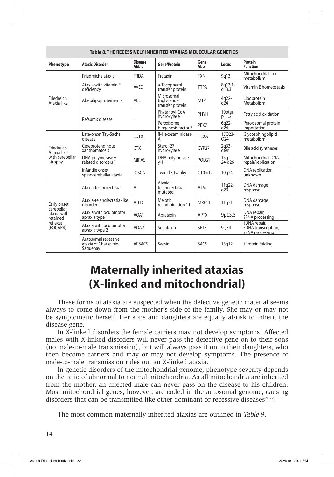| Table 8. THE RECESSIVELY INHERITED ATAXIAS MOLECULAR GENETICS                |                                                          |                         |                                                |               |                      |                                                        |
|------------------------------------------------------------------------------|----------------------------------------------------------|-------------------------|------------------------------------------------|---------------|----------------------|--------------------------------------------------------|
| Phenotype                                                                    | <b>Ataxic Disorder</b>                                   | <b>Disease</b><br>Abbr. | Gene/Protein                                   | Gene<br>Abbr  | Locus                | Protein<br><b>Function</b>                             |
| Friedreich<br>Ataxia-like                                                    | Friedreich's ataxia                                      | <b>FRDA</b>             | Frataxin                                       | <b>FXN</b>    | 9q13                 | Mitochondrial iron<br>metabolism                       |
|                                                                              | Ataxia with vitamin E<br>deficiency                      | AVFD                    | a-Tocopherol<br>transfer protein               | <b>TTPA</b>   | $8q13.1 -$<br>q13.3  | Vitamin E homeostasis                                  |
|                                                                              | Abetalipoproteinemia                                     | ABL                     | Microsomal<br>triglyceride<br>transfer protein | <b>MTP</b>    | 4g22-<br>$q\dot{2}4$ | Lipoprotein<br>Metabolism                              |
|                                                                              | Refsum's disease                                         |                         | Phytanoyl-CoA<br>hydroxylase                   | PHYH          | 10oter-<br>p11.2     | Fatty acid oxidation                                   |
|                                                                              |                                                          |                         | Peroxisome<br>biogenesis factor 7              | PFX7          | 6a22-<br>$q\dot{2}4$ | Peroxisomal protein<br>importation                     |
|                                                                              | Late-onset Tay-Sachs<br>disease                          | <b>I OTX</b>            | ß-Hexosaminidase<br>A                          | <b>HEXA</b>   | 15Q23-<br>024        | Glycosphingolipid<br>métabolism                        |
| Friedreich<br>Ataxia-like                                                    | Cerebrotendinous<br>xanthomatosis                        | <b>CTX</b>              | Sterol-27<br>hydroxylase                       | CYP27         | $2q33-$<br>gter      | Bile acid syntheses                                    |
| with cerebellar<br>atrophy                                                   | DNA polymerase y<br>related disorders                    | <b>MIRAS</b>            | DNA polymerase<br>y-1                          | POLG1         | 15q<br>$24 - q26$    | Mitochondrial DNA<br>repair/replication                |
|                                                                              | Infantile onset<br>spinocerebellar ataxia                | <b>IOSCA</b>            | Twinkle, Twinky                                | $C10$ orf $2$ | 10g24                | DNA replication,<br>unknown                            |
| Early onset<br>cerebellar<br>ataxia with<br>retained<br>reflexes<br>(EOCARR) | Ataxia-telangiectasia                                    | AT                      | Ataxia-<br>telangiectasia,<br>mutated          | <b>ATM</b>    | $11q22 -$<br>q23     | DNA damage<br>response                                 |
|                                                                              | Ataxia-telangiectasia-like<br>disorder                   | <b>ATLD</b>             | Meiotic<br>recombination 11                    | MRE11         | 11q21                | DNA damage<br>response                                 |
|                                                                              | Ataxia with oculomotor<br>apraxia type 1                 | AOA1                    | Aprataxin                                      | <b>APTX</b>   | 9p13.3               | DNA repair,<br>?RNA processing                         |
|                                                                              | Ataxia with oculomotor<br>apraxia type 2                 | AOA2                    | Senataxin                                      | <b>SETX</b>   | 9Q34                 | ?DNA repair,<br>?DNA transcription,<br>?RNA processing |
|                                                                              | Autosomal recessive<br>ataxia of Charlevoix-<br>Saguenay | <b>ARSACS</b>           | Sacsin                                         | <b>SACS</b>   | 13q12                | ?Protein folding                                       |

#### **Maternally inherited ataxias (X-linked and mitochondrial)**

 These forms of ataxia are suspected when the defective genetic material seems always to come down from the mother's side of the family. She may or may not be symptomatic herself. Her sons and daughters are equally at-risk to inherit the disease gene.

 In X-linked disorders the female carriers may not develop symptoms. Affected males with X-linked disorders will never pass the defective gene on to their sons (no male-to-male transmission), but will always pass it on to their daughters, who then become carriers and may or may not develop symptoms. The presence of male-to-male transmission rules out an X-linked ataxia.

 In genetic disorders of the mitochondrial genome, phenotype severity depends on the ratio of abnormal to normal mitochondria. As all mitochondria are inherited from the mother, an affected male can never pass on the disease to his children. Most mitochondrial genes, however, are coded in the autosomal genome, causing disorders that can be transmitted like other dominant or recessive diseases $2^{1,22}$ .

The most common maternally inherited ataxias are outlined in *Table 9*.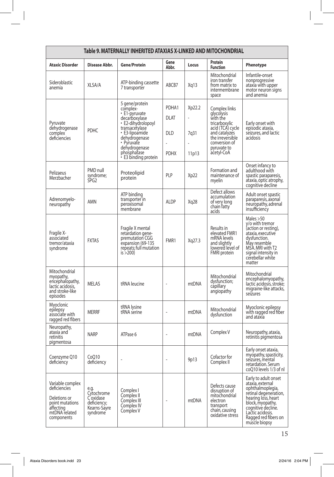| Table 9. MATERNALLY INHERITED ATAXIAS X-LINKED AND MITOCHONDRIAL                                                |                                                                           |                                                                                                                                                                                                                     |                                                   |                         |                                                                                                                                                                 |                                                                                                                                                                                                                     |
|-----------------------------------------------------------------------------------------------------------------|---------------------------------------------------------------------------|---------------------------------------------------------------------------------------------------------------------------------------------------------------------------------------------------------------------|---------------------------------------------------|-------------------------|-----------------------------------------------------------------------------------------------------------------------------------------------------------------|---------------------------------------------------------------------------------------------------------------------------------------------------------------------------------------------------------------------|
| <b>Ataxic Disorder</b>                                                                                          | Disease Abbr.                                                             | <b>Gene/Protein</b>                                                                                                                                                                                                 | Gene<br>Abbr.                                     | Locus                   | Protein<br><b>Function</b>                                                                                                                                      | Phenotype                                                                                                                                                                                                           |
| Sideroblastic<br>anemia                                                                                         | XLSA/A                                                                    | ATP-binding cassette<br>7 transporter                                                                                                                                                                               | ABCB7                                             | Xq13                    | Mitochondrial<br>iron transfer<br>from matrix to<br>intermembrane<br>space                                                                                      | Infantile-onset<br>nonprogressive<br>ataxia with upper<br>motor neuron signs<br>and anemia                                                                                                                          |
| Pyruvate<br>dehydrogenase<br>complex<br>deficiencies                                                            | <b>PDHC</b>                                                               | 5 gene/protein<br>complex-<br>· E1-pyruvate<br>decarboxylase<br>• E2-dihydrolopoyl<br>transacetylase<br>• E3-lipoamide<br>dehydrogenase<br>• Pyruvate<br>dehydrogenase<br>phosphatase<br>$\cdot$ E3 binding protein | PDHA1<br><b>DLAT</b><br><b>DLD</b><br><b>PDHX</b> | Xp22.2<br>7q31<br>11p13 | Complex links<br>glycolysis<br>with the<br>tricarboxylic<br>acid (TCA) cycle<br>and catalyzes<br>the irreversible<br>conversion of<br>pyruvate to<br>acetyl-CoA | Early onset with<br>episodic ataxia,<br>seizures, and lactic<br>acidosis                                                                                                                                            |
| Pelizaeus<br>Merzbacher                                                                                         | PMD null<br>syndrome;<br>SPG2                                             | Proteolipid<br>protein                                                                                                                                                                                              | <b>PLP</b>                                        | Xp22                    | Formation and<br>maintenance of<br>myelin                                                                                                                       | Onset infancy to<br>adulthood with<br>spastic paraparesis,<br>ataxia, optic atrophy,<br>cognitive decline                                                                                                           |
| Adrenomyelo-<br>neuropathy                                                                                      | AMN                                                                       | ATP binding<br>transporter in<br>peroxisomal<br>membrane                                                                                                                                                            | <b>ALDP</b>                                       | Xq28                    | Defect allows<br>accumulation<br>of very long<br>chain fatty<br>acids                                                                                           | Adult onset spastic<br>paraparesis, axonal<br>neuropathy, adrenal<br>insufficiency                                                                                                                                  |
| Fragile X-<br>associated<br>tremor/ataxia<br>syndrome                                                           | <b>FXTAS</b>                                                              | Fragile X mental<br>retardation gene-<br>premutation CGG<br>expansion (69-135<br>repeats; full mutation<br>is > 200                                                                                                 | FMR1                                              | Xq27.3                  | Results in<br>elevated FMR1<br>mRNA levels<br>and slightly<br>lowered level of<br><b>FMRI</b> protein                                                           | Males > 50<br>y/o with tremor<br>(action or resting),<br>ataxia, executive<br>dysfunction.<br>May resemble<br>MSA. MRI with T2<br>signal intensity in<br>cerebellar white<br>matter                                 |
| Mitochondrial<br>myopathy,<br>encephalopathy,<br>lactic acidosis,<br>and stroke-like<br>episodes                | <b>MELAS</b>                                                              | tRNA leucine                                                                                                                                                                                                        | Ĭ.                                                | mtDNA                   | Mitochondrial<br>dysfunction;<br>capillary<br>angiopathy                                                                                                        | Mitochondrial<br>encephalomyopathy,<br>lactic acidosis, stroke;<br>migraine-like attacks,<br>seizures                                                                                                               |
| Myoclonic<br>epilepsy<br>associate with<br>ragged red fibers                                                    | <b>MERRF</b>                                                              | tRNA lysine<br>tRNA serine                                                                                                                                                                                          | L,                                                | mtDNA                   | Mitochondrial<br>dysfunction                                                                                                                                    | Myoclonic epilepsy<br>with ragged red fiber<br>and ataxia                                                                                                                                                           |
| Neuropathy,<br>ataxia and<br>retinitis<br>pigmentosa                                                            | <b>NARP</b>                                                               | ATPase 6                                                                                                                                                                                                            | $\overline{a}$                                    | mtDNA                   | Complex V                                                                                                                                                       | Neuropathy, ataxia,<br>retinitis pigmentosa                                                                                                                                                                         |
| Coenzyme Q10<br>deficiency                                                                                      | CoQ10<br>deficiency                                                       |                                                                                                                                                                                                                     |                                                   | 9p13                    | Cofactor for<br>Complex II                                                                                                                                      | Early onset ataxia,<br>myopathy, spasticity,<br>seizures, mental<br>retardation. Serum<br>coO10 levels 1/3 of nl                                                                                                    |
| Variable complex<br>deficiencies<br>Deletions or<br>point mutations<br>affecting<br>mtDNA related<br>components | e.g.<br>Cytochrome<br>Coxidase<br>deficiency;<br>Kearns-Sayre<br>syndrome | Complex I<br>Complex II<br>Complex III<br>Complex IV<br>Complex V                                                                                                                                                   | $\overline{a}$                                    | mtDNA                   | Defects cause<br>disruption of<br>mitochondrial<br>electron<br>transport<br>chain, causing<br>oxidative stress                                                  | Early to adult onset<br>ataxia, external<br>ophthalmoplegia,<br>retinal degeneration,<br>hearing loss, heart<br>block, myopathy,<br>cognitive decline.<br>Lactic acidosis.<br>Ragged red fibers on<br>muscle biopsy |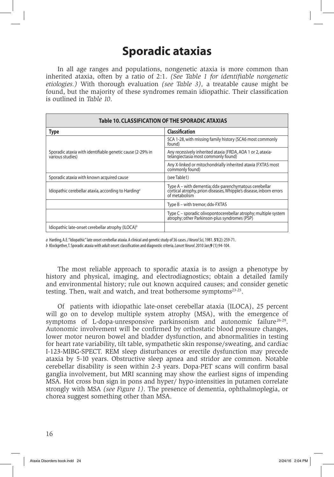## **Sporadic ataxias**

In all age ranges and populations, nongenetic ataxia is more common than inherited ataxia, often by a ratio of 2:1. *(See Table 1 for identifiable nongenetic etiologies.)* With thorough evaluation *(see Table 3),* a treatable cause might be found, but the majority of these syndromes remain idiopathic. Their classification is outlined in *Table 10*.

| Table 10. CLASSIFICATION OF THE SPORADIC ATAXIAS                              |                                                                                                                                              |  |  |
|-------------------------------------------------------------------------------|----------------------------------------------------------------------------------------------------------------------------------------------|--|--|
| <b>Type</b>                                                                   | <b>Classification</b>                                                                                                                        |  |  |
|                                                                               | SCA 1-28, with missing family history (SCA6 most commonly<br>found)                                                                          |  |  |
| Sporadic ataxia with identifiable genetic cause (2-29% in<br>various studies) | Any recessively inherited ataxia (FRDA, AOA 1 or 2, ataxia-<br>telangiectasia most commonly found)                                           |  |  |
|                                                                               | Any X-linked or mitochondrially inherited ataxia (FXTAS most<br>commonly found)                                                              |  |  |
| Sporadic ataxia with known acquired cause                                     | (see Table 1)                                                                                                                                |  |  |
| Idiopathic cerebellar ataxia, according to Harding <sup>a</sup>               | Type A – with dementia; ddx-parenchymatous cerebellar<br>cortical atrophy, prion diseases, Whipple's disease, inborn errors<br>of metabolism |  |  |
|                                                                               | Type B – with tremor; ddx-FXTAS                                                                                                              |  |  |
|                                                                               | Type C - sporadic olivopontocerebellar atrophy; multiple system<br>atrophy; other Parkinson-plus syndromes (PSP)                             |  |  |
| Idiopathic late-onset cerebellar atrophy (ILOCA) <sup>b</sup>                 |                                                                                                                                              |  |  |

*a* Harding, A.E. "Idiopathic" late onset cerebellar ataxia. A clinical and genetic study of 36 cases. *J Neurol Sci*, 1981. **51**(2): 259-71.

*b* Klockgether, T. Sporadic ataxia with adult onset: classification and diagnostic criteria. *Lancet Neurol*. 2010 Jan;**9** (1):94-104.

 The most reliable approach to sporadic ataxia is to assign a phenotype by history and physical, imaging, and electrodiagnostics; obtain a detailed family and environmental history; rule out known acquired causes; and consider genetic testing. Then, wait and watch, and treat bothersome symptoms $23-25$ .

 Of patients with idiopathic late-onset cerebellar ataxia (ILOCA), 25 percent will go on to develop multiple system atrophy (MSA), with the emergence of symptoms of L-dopa-unresponsive parkinsonism and autonomic failure<sup>26-29</sup>. Autonomic involvement will be confirmed by orthostatic blood pressure changes, lower motor neuron bowel and bladder dysfunction, and abnormalities in testing for heart rate variability, tilt table, sympathetic skin response/sweating, and cardiac I-123-MIBG-SPECT. REM sleep disturbances or erectile dysfunction may precede ataxia by 5-10 years. Obstructive sleep apnea and stridor are common. Notable cerebellar disability is seen within 2-3 years. Dopa-PET scans will confirm basal ganglia involvement, but MRI scanning may show the earliest signs of impending MSA. Hot cross bun sign in pons and hyper/ hypo-intensities in putamen correlate strongly with MSA *(see Figure 1)*. The presence of dementia, ophthalmoplegia, or chorea suggest something other than MSA.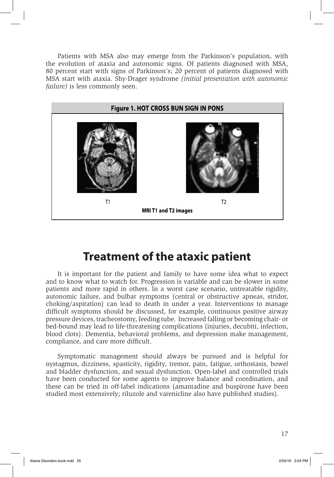Patients with MSA also may emerge from the Parkinson's population, with the evolution of ataxia and autonomic signs. Of patients diagnosed with MSA, 80 percent start with signs of Parkinson's; 20 percent of patients diagnosed with MSA start with ataxia. Shy-Drager syndrome *(initial presentation with autonomic failure)* is less commonly seen.



#### **Treatment of the ataxic patient**

 It is important for the patient and family to have some idea what to expect and to know what to watch for. Progression is variable and can be slower in some patients and more rapid in others. In a worst case scenario, untreatable rigidity, autonomic failure, and bulbar symptoms (central or obstructive apneas, stridor, choking/aspiration) can lead to death in under a year. Interventions to manage difficult symptoms should be discussed, for example, continuous positive airway pressure devices, tracheostomy, feeding tube. Increased falling or becoming chair- or bed-bound may lead to life-threatening complications (injuries, decubiti, infection, blood clots). Dementia, behavioral problems, and depression make management, compliance, and care more difficult.

 Symptomatic management should always be pursued and is helpful for nystagmus, dizziness, spasticity, rigidity, tremor, pain, fatigue, orthostasis, bowel and bladder dysfunction, and sexual dysfunction. Open-label and controlled trials have been conducted for some agents to improve balance and coordination, and these can be tried in off-label indications (amantadine and buspirone have been studied most extensively; riluzole and varenicline also have published studies).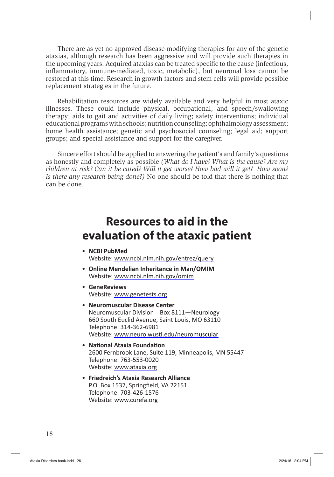There are as yet no approved disease-modifying therapies for any of the genetic ataxias, although research has been aggressive and will provide such therapies in the upcoming years. Acquired ataxias can be treated specific to the cause (infectious, inflammatory, immune-mediated, toxic, metabolic), but neuronal loss cannot be restored at this time. Research in growth factors and stem cells will provide possible replacement strategies in the future.

 Rehabilitation resources are widely available and very helpful in most ataxic illnesses. These could include physical, occupational, and speech/swallowing therapy; aids to gait and activities of daily living; safety interventions; individual educational programs with schools; nutrition counseling; ophthalmology assessment; home health assistance; genetic and psychosocial counseling; legal aid; support groups; and special assistance and support for the caregiver.

 Sincere effort should be applied to answering the patient's and family's questions as honestly and completely as possible *(What do I have? What is the cause? Are my children at risk? Can it be cured? Will it get worse? How bad will it get? How soon? Is there any research being done?)* No one should be told that there is nothing that can be done.

#### **Resources to aid in the evaluation of the ataxic patient**

- • **NCBI PubMed** Website: www.ncbi.nlm.nih.gov/entrez/query
- • **Online Mendelian Inheritance in Man/OMIM**  Website: www.ncbi.nlm.nih.gov/omim
- • **GeneReviews** Website: www.genetests.org
- • **Neuromuscular Disease Center** Neuromuscular Division Box 8111—Neurology 660 South Euclid Avenue, Saint Louis, MO 63110 Telephone: 314-362-6981 Website: www.neuro.wustl.edu/neuromuscular
- • **National Ataxia Foundation** 2600 Fernbrook Lane, Suite 119, Minneapolis, MN 55447 Telephone: 763-553-0020 Website: www.ataxia.org
- • **Friedreich's Ataxia Research Alliance**  P.O. Box 1537, Springfield, VA 22151 Telephone: 703-426-1576 Website: www.curefa.org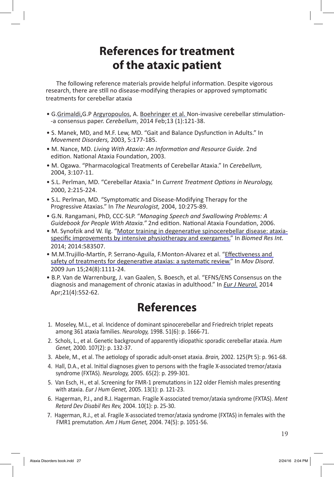## **References for treatment of the ataxic patient**

The following reference materials provide helpful information. Despite vigorous research, there are still no disease-modifying therapies or approved symptomatic treatments for cerebellar ataxia

- G.Grimaldi,G.P Argyropoulos, A. Boehringer et al. Non-invasive cerebellar stimulation- -a consensus paper. *Cerebellum*. 2014 Feb;13 (1):121-38.
- S. Manek, MD, and M.F. Lew, MD. "Gait and Balance Dysfunction in Adults." In *Movement Disorders,* 2003, 5:177-185.
- M. Nance, MD. *Living With Ataxia: An Information and Resource Guide.* 2nd edition. National Ataxia Foundation, 2003.
- M. Ogawa. "Pharmacological Treatments of Cerebellar Ataxia." In *Cerebellum,* 2004, 3:107-11.
- S.L. Perlman, MD. "Cerebellar Ataxia." In *Current Treatment Options in Neurology,* 2000, 2:215-224.
- S.L. Perlman, MD. "Symptomatic and Disease-Modifying Therapy for the Progressive Ataxias." In *The Neurologist,* 2004, 10:275-89.
- G.N. Rangamani, PhD, CCC-SLP. "*Managing Speech and Swallowing Problems: A Guidebook for People With Ataxia."* 2nd edition. National Ataxia Foundation, 2006.
- M. Synofzik and W. Ilg. "Motor training in degenerative spinocerebellar disease: ataxiaspecific improvements by intensive physiotherapy and exergames." In *Biomed Res Int.* 2014; 2014:583507.
- M.M.Trujillo-Martín, P. Serrano-Aguila, F.Monton-Alvarez et al. "Effectiveness and safety of treatments for degenerative ataxias: a systematic review." In *Mov Disord*. 2009 Jun 15;24(8):1111-24.
- B.P. Van de Warrenburg, J. van Gaalen, S. Boesch, et al. "EFNS/ENS Consensus on the diagnosis and management of chronic ataxias in adulthood." In *Eur J Neurol.* 2014 Apr;21(4):552-62.

#### **References**

- 1. Moseley, M.L., et al. Incidence of dominant spinocerebellar and Friedreich triplet repeats among 361 ataxia families. *Neurology,* 1998. 51(6): p. 1666-71.
- 2. Schols, L., et al. Genetic background of apparently idiopathic sporadic cerebellar ataxia. *Hum Genet,* 2000. 107(2): p. 132-37.
- 3. Abele, M., et al. The aetiology of sporadic adult-onset ataxia. *Brain,* 2002. 125(Pt 5): p. 961-68.
- 4. Hall, D.A., et al. Initial diagnoses given to persons with the fragile X-associated tremor/ataxia syndrome (FXTAS). *Neurology,* 2005. 65(2): p. 299-301.
- 5. Van Esch, H., et al. Screening for FMR-1 premutations in 122 older Flemish males presenting with ataxia. *Eur J Hum Genet,* 2005. 13(1): p. 121-23.
- 6. Hagerman, P.J., and R.J. Hagerman. Fragile X-associated tremor/ataxia syndrome (FXTAS). *Ment Retard Dev Disabil Res Rev,* 2004. 10(1): p. 25-30.
- 7. Hagerman, R.J., et al. Fragile X-associated tremor/ataxia syndrome (FXTAS) in females with the FMR1 premutation. *Am J Hum Genet,* 2004. 74(5): p. 1051-56.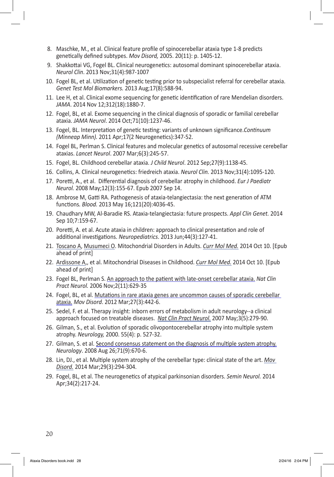- 8. Maschke, M., et al. Clinical feature profile of spinocerebellar ataxia type 1-8 predicts genetically defined subtypes. *Mov Disord,* 2005. 20(11): p. 1405-12.
- 9. Shakkottai VG, Fogel BL. Clinical neurogenetics: autosomal dominant spinocerebellar ataxia. *Neurol Clin*. 2013 Nov;31(4):987-1007
- 10. Fogel BL, et al. Utilization of genetic testing prior to subspecialist referral for cerebellar ataxia. *Genet Test Mol Biomarkers.* 2013 Aug;17(8):588-94.
- 11. Lee H, et al. Clinical exome sequencing for genetic identification of rare Mendelian disorders. *JAMA*. 2014 Nov 12;312(18):1880-7.
- 12. Fogel, BL, et al. Exome sequencing in the clinical diagnosis of sporadic or familial cerebellar ataxia. *JAMA Neurol*. 2014 Oct;71(10):1237-46.
- 13. Fogel, BL. Interpretation of genetic testing: variants of unknown significance.*Continuum (Minneap Minn).* 2011 Apr;17(2 Neurogenetics):347-52.
- 14. Fogel BL, Perlman S. Clinical features and molecular genetics of autosomal recessive cerebellar ataxias. *Lancet Neurol*. 2007 Mar;6(3):245-57.
- 15. Fogel, BL. Childhood cerebellar ataxia. *J Child Neurol*. 2012 Sep;27(9):1138-45.
- 16. Collins, A. Clinical neurogenetics: friedreich ataxia. *Neurol Clin.* 2013 Nov;31(4):1095-120.
- 17. Poretti, A., et al. Differential diagnosis of cerebellar atrophy in childhood. *Eur J Paediatr Neurol.* 2008 May;12(3):155-67. Epub 2007 Sep 14.
- 18. Ambrose M, Gatti RA. Pathogenesis of ataxia-telangiectasia: the next generation of ATM functions*. Blood.* 2013 May 16;121(20):4036-45.
- 19. Chaudhary MW, Al-Baradie RS. Ataxia-telangiectasia: future prospects. *Appl Clin Genet.* 2014 Sep 10;7:159-67.
- 20. Poretti, A. et al. Acute ataxia in children: approach to clinical presentation and role of additional investigations. *Neuropediatrics*. 2013 Jun;44(3):127-41.
- 21. Toscano A, Musumeci O. Mitochondrial Disorders in Adults. *Curr Mol Med.* 2014 Oct 10. [Epub ahead of print]
- 22. Ardissone A,, et al. Mitochondrial Diseases in Childhood. *Curr Mol Med.* 2014 Oct 10. [Epub ahead of print]
- 23. Fogel BL, Perlman S. An approach to the patient with late-onset cerebellar ataxia. *Nat Clin Pract Neurol.* 2006 Nov;2(11):629-35
- 24. Fogel, BL, et al. Mutations in rare ataxia genes are uncommon causes of sporadic cerebellar ataxia. *Mov Disord*. 2012 Mar;27(3):442-6.
- 25. Sedel, F. et al. Therapy insight: inborn errors of metabolism in adult neurology--a clinical approach focused on treatable diseases. *Nat Clin Pract Neurol.* 2007 May;3(5):279-90.
- 26. Gilman, S., et al. Evolution of sporadic olivopontocerebellar atrophy into multiple system atrophy. *Neurology,* 2000. 55(4): p. 527-32.
- 27. Gilman, S. et al. Second consensus statement on the diagnosis of multiple system atrophy. *Neurology*. 2008 Aug 26;71(9):670-6.
- 28. Lin, DJ., et al. Multiple system atrophy of the cerebellar type: clinical state of the art. *Mov Disord.* 2014 Mar;29(3):294-304.
- 29. Fogel, BL, et al. The neurogenetics of atypical parkinsonian disorders. *Semin Neurol.* 2014 Apr;34(2):217-24.